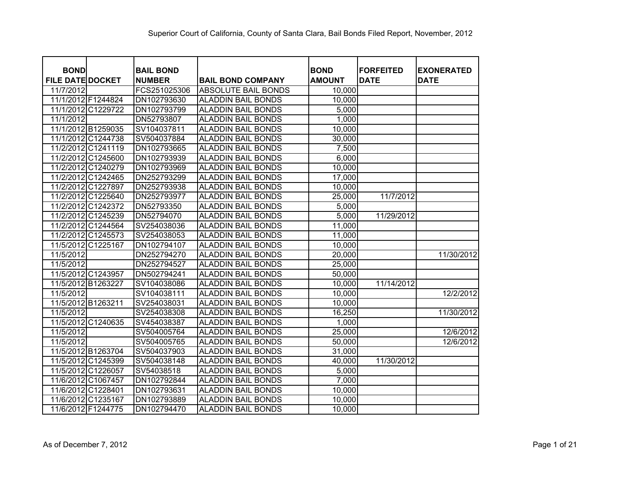| <b>BOND</b>             |                    | <b>BAIL BOND</b> |                            | <b>BOND</b>   | <b>FORFEITED</b> | <b>EXONERATED</b> |
|-------------------------|--------------------|------------------|----------------------------|---------------|------------------|-------------------|
| <b>FILE DATE DOCKET</b> |                    | <b>NUMBER</b>    | <b>BAIL BOND COMPANY</b>   | <b>AMOUNT</b> | <b>DATE</b>      | <b>DATE</b>       |
| 11/7/2012               |                    | FCS251025306     | <b>ABSOLUTE BAIL BONDS</b> | 10,000        |                  |                   |
| 11/1/2012 F1244824      |                    | DN102793630      | ALADDIN BAIL BONDS         | 10,000        |                  |                   |
| 11/1/2012               | C1229722           | DN102793799      | <b>ALADDIN BAIL BONDS</b>  | 5,000         |                  |                   |
| 11/1/2012               |                    | DN52793807       | <b>ALADDIN BAIL BONDS</b>  | 1,000         |                  |                   |
|                         | 11/1/2012 B1259035 | SV104037811      | <b>ALADDIN BAIL BONDS</b>  | 10,000        |                  |                   |
|                         | 11/1/2012 C1244738 | SV504037884      | <b>ALADDIN BAIL BONDS</b>  | 30,000        |                  |                   |
|                         | 11/2/2012 C1241119 | DN102793665      | <b>ALADDIN BAIL BONDS</b>  | 7,500         |                  |                   |
|                         | 11/2/2012 C1245600 | DN102793939      | <b>ALADDIN BAIL BONDS</b>  | 6,000         |                  |                   |
|                         | 11/2/2012 C1240279 | DN102793969      | <b>ALADDIN BAIL BONDS</b>  | 10,000        |                  |                   |
|                         | 11/2/2012 C1242465 | DN252793299      | <b>ALADDIN BAIL BONDS</b>  | 17,000        |                  |                   |
| 11/2/2012               | C1227897           | DN252793938      | <b>ALADDIN BAIL BONDS</b>  | 10,000        |                  |                   |
| 11/2/2012               | C1225640           | DN252793977      | <b>ALADDIN BAIL BONDS</b>  | 25,000        | 11/7/2012        |                   |
| 11/2/2012               | C1242372           | DN52793350       | <b>ALADDIN BAIL BONDS</b>  | 5,000         |                  |                   |
| 11/2/2012               | C1245239           | DN52794070       | <b>ALADDIN BAIL BONDS</b>  | 5,000         | 11/29/2012       |                   |
| 11/2/2012               | C1244564           | SV254038036      | <b>ALADDIN BAIL BONDS</b>  | 11,000        |                  |                   |
|                         | 11/2/2012 C1245573 | SV254038053      | <b>ALADDIN BAIL BONDS</b>  | 11,000        |                  |                   |
| 11/5/2012               | C1225167           | DN102794107      | <b>ALADDIN BAIL BONDS</b>  | 10,000        |                  |                   |
| 11/5/2012               |                    | DN252794270      | <b>ALADDIN BAIL BONDS</b>  | 20,000        |                  | 11/30/2012        |
| 11/5/2012               |                    | DN252794527      | <b>ALADDIN BAIL BONDS</b>  | 25,000        |                  |                   |
|                         | 11/5/2012 C1243957 | DN502794241      | <b>ALADDIN BAIL BONDS</b>  | 50,000        |                  |                   |
| 11/5/2012               | B1263227           | SV104038086      | <b>ALADDIN BAIL BONDS</b>  | 10,000        | 11/14/2012       |                   |
| 11/5/2012               |                    | SV104038111      | <b>ALADDIN BAIL BONDS</b>  | 10,000        |                  | 12/2/2012         |
|                         | 11/5/2012 B1263211 | SV254038031      | <b>ALADDIN BAIL BONDS</b>  | 10,000        |                  |                   |
| 11/5/2012               |                    | SV254038308      | ALADDIN BAIL BONDS         | 16,250        |                  | 11/30/2012        |
|                         | 11/5/2012 C1240635 | SV454038387      | <b>ALADDIN BAIL BONDS</b>  | 1,000         |                  |                   |
| 11/5/2012               |                    | SV504005764      | ALADDIN BAIL BONDS         | 25,000        |                  | 12/6/2012         |
| 11/5/2012               |                    | SV504005765      | <b>ALADDIN BAIL BONDS</b>  | 50,000        |                  | 12/6/2012         |
|                         | 11/5/2012 B1263704 | SV504037903      | ALADDIN BAIL BONDS         | 31,000        |                  |                   |
|                         | 11/5/2012 C1245399 | SV504038148      | <b>ALADDIN BAIL BONDS</b>  | 40,000        | 11/30/2012       |                   |
|                         | 11/5/2012 C1226057 | SV54038518       | <b>ALADDIN BAIL BONDS</b>  | 5,000         |                  |                   |
|                         | 11/6/2012 C1067457 | DN102792844      | <b>ALADDIN BAIL BONDS</b>  | 7,000         |                  |                   |
|                         | 11/6/2012 C1228401 | DN102793631      | <b>ALADDIN BAIL BONDS</b>  | 10,000        |                  |                   |
|                         | 11/6/2012 C1235167 | DN102793889      | <b>ALADDIN BAIL BONDS</b>  | 10,000        |                  |                   |
|                         | 11/6/2012 F1244775 | DN102794470      | <b>ALADDIN BAIL BONDS</b>  | 10,000        |                  |                   |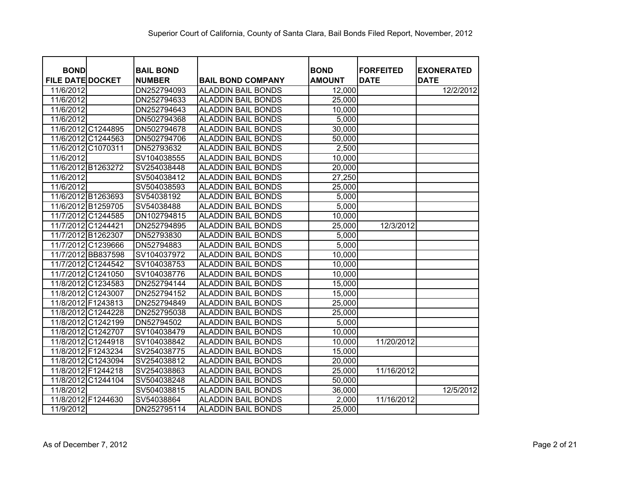| <b>BOND</b>             | <b>BAIL BOND</b> |                           | <b>BOND</b>   | <b>FORFEITED</b> | <b>EXONERATED</b> |
|-------------------------|------------------|---------------------------|---------------|------------------|-------------------|
| <b>FILE DATE DOCKET</b> | <b>NUMBER</b>    | <b>BAIL BOND COMPANY</b>  | <b>AMOUNT</b> | <b>DATE</b>      | <b>DATE</b>       |
| 11/6/2012               | DN252794093      | <b>ALADDIN BAIL BONDS</b> | 12,000        |                  | 12/2/2012         |
| 11/6/2012               | DN252794633      | <b>ALADDIN BAIL BONDS</b> | 25,000        |                  |                   |
| 11/6/2012               | DN252794643      | <b>ALADDIN BAIL BONDS</b> | 10,000        |                  |                   |
| 11/6/2012               | DN502794368      | <b>ALADDIN BAIL BONDS</b> | 5,000         |                  |                   |
| 11/6/2012 C1244895      | DN502794678      | <b>ALADDIN BAIL BONDS</b> | 30,000        |                  |                   |
| 11/6/2012 C1244563      | DN502794706      | <b>ALADDIN BAIL BONDS</b> | 50,000        |                  |                   |
| 11/6/2012 C1070311      | DN52793632       | <b>ALADDIN BAIL BONDS</b> | 2,500         |                  |                   |
| 11/6/2012               | SV104038555      | <b>ALADDIN BAIL BONDS</b> | 10,000        |                  |                   |
| 11/6/2012 B1263272      | SV254038448      | <b>ALADDIN BAIL BONDS</b> | 20,000        |                  |                   |
| 11/6/2012               | SV504038412      | <b>ALADDIN BAIL BONDS</b> | 27,250        |                  |                   |
| 11/6/2012               | SV504038593      | <b>ALADDIN BAIL BONDS</b> | 25,000        |                  |                   |
| 11/6/2012 B1263693      | SV54038192       | <b>ALADDIN BAIL BONDS</b> | 5,000         |                  |                   |
| 11/6/2012 B1259705      | SV54038488       | <b>ALADDIN BAIL BONDS</b> | 5,000         |                  |                   |
| 11/7/2012 C1244585      | DN102794815      | <b>ALADDIN BAIL BONDS</b> | 10,000        |                  |                   |
| 11/7/2012 C1244421      | DN252794895      | <b>ALADDIN BAIL BONDS</b> | 25,000        | 12/3/2012        |                   |
| 11/7/2012 B1262307      | DN52793830       | <b>ALADDIN BAIL BONDS</b> | 5,000         |                  |                   |
| 11/7/2012 C1239666      | DN52794883       | <b>ALADDIN BAIL BONDS</b> | 5,000         |                  |                   |
| 11/7/2012 BB837598      | SV104037972      | <b>ALADDIN BAIL BONDS</b> | 10,000        |                  |                   |
| 11/7/2012 C1244542      | SV104038753      | <b>ALADDIN BAIL BONDS</b> | 10,000        |                  |                   |
| 11/7/2012 C1241050      | SV104038776      | <b>ALADDIN BAIL BONDS</b> | 10,000        |                  |                   |
| 11/8/2012 C1234583      | DN252794144      | <b>ALADDIN BAIL BONDS</b> | 15,000        |                  |                   |
| 11/8/2012 C1243007      | DN252794152      | <b>ALADDIN BAIL BONDS</b> | 15,000        |                  |                   |
| 11/8/2012 F1243813      | DN252794849      | <b>ALADDIN BAIL BONDS</b> | 25,000        |                  |                   |
| 11/8/2012 C1244228      | DN252795038      | <b>ALADDIN BAIL BONDS</b> | 25,000        |                  |                   |
| 11/8/2012 C1242199      | DN52794502       | <b>ALADDIN BAIL BONDS</b> | 5,000         |                  |                   |
| 11/8/2012 C1242707      | SV104038479      | <b>ALADDIN BAIL BONDS</b> | 10,000        |                  |                   |
| 11/8/2012 C1244918      | SV104038842      | <b>ALADDIN BAIL BONDS</b> | 10,000        | 11/20/2012       |                   |
| 11/8/2012 F1243234      | SV254038775      | <b>ALADDIN BAIL BONDS</b> | 15,000        |                  |                   |
| 11/8/2012 C1243094      | SV254038812      | <b>ALADDIN BAIL BONDS</b> | 20,000        |                  |                   |
| 11/8/2012 F1244218      | SV254038863      | <b>ALADDIN BAIL BONDS</b> | 25,000        | 11/16/2012       |                   |
| 11/8/2012 C1244104      | SV504038248      | <b>ALADDIN BAIL BONDS</b> | 50,000        |                  |                   |
| 11/8/2012               | SV504038815      | <b>ALADDIN BAIL BONDS</b> | 36,000        |                  | 12/5/2012         |
| 11/8/2012 F1244630      | SV54038864       | <b>ALADDIN BAIL BONDS</b> | 2,000         | 11/16/2012       |                   |
| 11/9/2012               | DN252795114      | <b>ALADDIN BAIL BONDS</b> | 25,000        |                  |                   |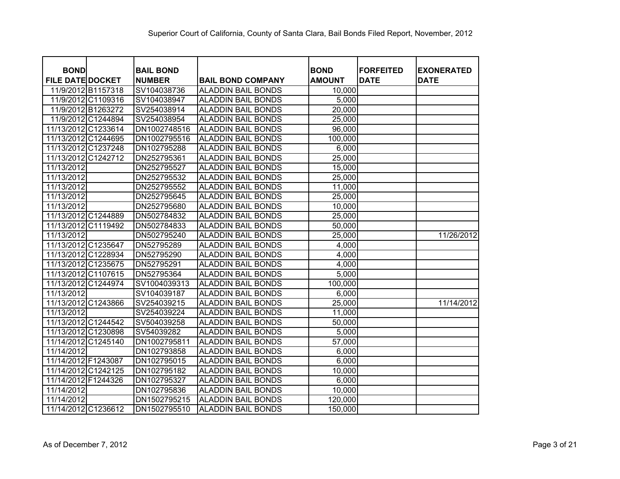| <b>BOND</b>             |                    | <b>BAIL BOND</b> |                           | <b>BOND</b>   | <b>FORFEITED</b> | <b>EXONERATED</b> |
|-------------------------|--------------------|------------------|---------------------------|---------------|------------------|-------------------|
| <b>FILE DATE DOCKET</b> |                    | <b>NUMBER</b>    | <b>BAIL BOND COMPANY</b>  | <b>AMOUNT</b> | <b>DATE</b>      | <b>DATE</b>       |
|                         | 11/9/2012 B1157318 | SV104038736      | <b>ALADDIN BAIL BONDS</b> | 10,000        |                  |                   |
|                         | 11/9/2012 C1109316 | SV104038947      | <b>ALADDIN BAIL BONDS</b> | 5,000         |                  |                   |
|                         | 11/9/2012 B1263272 | SV254038914      | <b>ALADDIN BAIL BONDS</b> | 20,000        |                  |                   |
|                         | 11/9/2012 C1244894 | SV254038954      | <b>ALADDIN BAIL BONDS</b> | 25,000        |                  |                   |
| 11/13/2012 C1233614     |                    | DN1002748516     | <b>ALADDIN BAIL BONDS</b> | 96,000        |                  |                   |
| 11/13/2012 C1244695     |                    | DN1002795516     | <b>ALADDIN BAIL BONDS</b> | 100,000       |                  |                   |
| 11/13/2012 C1237248     |                    | DN102795288      | <b>ALADDIN BAIL BONDS</b> | 6,000         |                  |                   |
| 11/13/2012 C1242712     |                    | DN252795361      | <b>ALADDIN BAIL BONDS</b> | 25,000        |                  |                   |
| 11/13/2012              |                    | DN252795527      | <b>ALADDIN BAIL BONDS</b> | 15,000        |                  |                   |
| 11/13/2012              |                    | DN252795532      | <b>ALADDIN BAIL BONDS</b> | 25,000        |                  |                   |
| 11/13/2012              |                    | DN252795552      | <b>ALADDIN BAIL BONDS</b> | 11,000        |                  |                   |
| 11/13/2012              |                    | DN252795645      | <b>ALADDIN BAIL BONDS</b> | 25,000        |                  |                   |
| 11/13/2012              |                    | DN252795680      | <b>ALADDIN BAIL BONDS</b> | 10,000        |                  |                   |
| 11/13/2012 C1244889     |                    | DN502784832      | <b>ALADDIN BAIL BONDS</b> | 25,000        |                  |                   |
| 11/13/2012              | C1119492           | DN502784833      | <b>ALADDIN BAIL BONDS</b> | 50,000        |                  |                   |
| 11/13/2012              |                    | DN502795240      | <b>ALADDIN BAIL BONDS</b> | 25,000        |                  | 11/26/2012        |
| 11/13/2012 C1235647     |                    | DN52795289       | <b>ALADDIN BAIL BONDS</b> | 4,000         |                  |                   |
| 11/13/2012 C1228934     |                    | DN52795290       | <b>ALADDIN BAIL BONDS</b> | 4,000         |                  |                   |
| 11/13/2012 C1235675     |                    | DN52795291       | <b>ALADDIN BAIL BONDS</b> | 4,000         |                  |                   |
| 11/13/2012 C1107615     |                    | DN52795364       | <b>ALADDIN BAIL BONDS</b> | 5,000         |                  |                   |
| 11/13/2012              | C1244974           | SV1004039313     | <b>ALADDIN BAIL BONDS</b> | 100,000       |                  |                   |
| 11/13/2012              |                    | SV104039187      | <b>ALADDIN BAIL BONDS</b> | 6,000         |                  |                   |
| 11/13/2012 C1243866     |                    | SV254039215      | <b>ALADDIN BAIL BONDS</b> | 25,000        |                  | 11/14/2012        |
| 11/13/2012              |                    | SV254039224      | <b>ALADDIN BAIL BONDS</b> | 11,000        |                  |                   |
| 11/13/2012 C1244542     |                    | SV504039258      | <b>ALADDIN BAIL BONDS</b> | 50,000        |                  |                   |
| 11/13/2012 C1230898     |                    | SV54039282       | <b>ALADDIN BAIL BONDS</b> | 5,000         |                  |                   |
| 11/14/2012              | C1245140           | DN1002795811     | <b>ALADDIN BAIL BONDS</b> | 57,000        |                  |                   |
| 11/14/2012              |                    | DN102793858      | <b>ALADDIN BAIL BONDS</b> | 6,000         |                  |                   |
| 11/14/2012 F1243087     |                    | DN102795015      | <b>ALADDIN BAIL BONDS</b> | 6,000         |                  |                   |
| 11/14/2012 C1242125     |                    | DN102795182      | <b>ALADDIN BAIL BONDS</b> | 10,000        |                  |                   |
| 11/14/2012 F1244326     |                    | DN102795327      | <b>ALADDIN BAIL BONDS</b> | 6,000         |                  |                   |
| 11/14/2012              |                    | DN102795836      | <b>ALADDIN BAIL BONDS</b> | 10,000        |                  |                   |
| 11/14/2012              |                    | DN1502795215     | <b>ALADDIN BAIL BONDS</b> | 120,000       |                  |                   |
| 11/14/2012 C1236612     |                    | DN1502795510     | <b>ALADDIN BAIL BONDS</b> | 150,000       |                  |                   |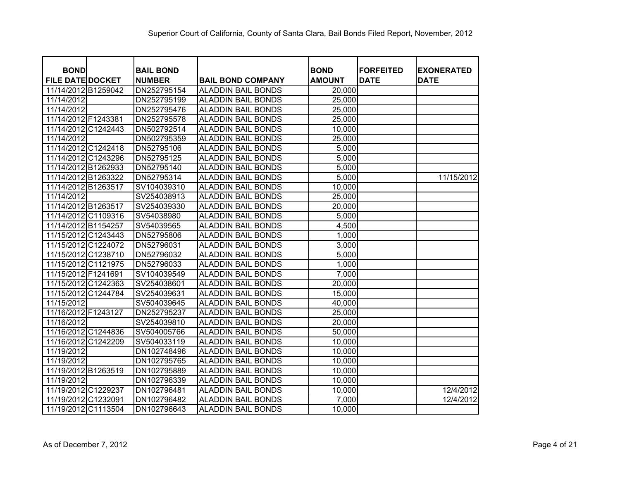| <b>BOND</b>             | <b>BAIL BOND</b> |                           | <b>BOND</b>   | <b>FORFEITED</b> | <b>EXONERATED</b> |
|-------------------------|------------------|---------------------------|---------------|------------------|-------------------|
| <b>FILE DATE DOCKET</b> | <b>NUMBER</b>    | <b>BAIL BOND COMPANY</b>  | <b>AMOUNT</b> | <b>DATE</b>      | <b>DATE</b>       |
| 11/14/2012 B1259042     | DN252795154      | <b>ALADDIN BAIL BONDS</b> | 20,000        |                  |                   |
| 11/14/2012              | DN252795199      | <b>ALADDIN BAIL BONDS</b> | 25,000        |                  |                   |
| 11/14/2012              | DN252795476      | <b>ALADDIN BAIL BONDS</b> | 25,000        |                  |                   |
| 11/14/2012 F1243381     | DN252795578      | <b>ALADDIN BAIL BONDS</b> | 25,000        |                  |                   |
| 11/14/2012 C1242443     | DN502792514      | <b>ALADDIN BAIL BONDS</b> | 10,000        |                  |                   |
| 11/14/2012              | DN502795359      | <b>ALADDIN BAIL BONDS</b> | 25,000        |                  |                   |
| 11/14/2012 C1242418     | DN52795106       | <b>ALADDIN BAIL BONDS</b> | 5,000         |                  |                   |
| 11/14/2012 C1243296     | DN52795125       | <b>ALADDIN BAIL BONDS</b> | 5,000         |                  |                   |
| 11/14/2012 B1262933     | DN52795140       | <b>ALADDIN BAIL BONDS</b> | 5,000         |                  |                   |
| 11/14/2012 B1263322     | DN52795314       | <b>ALADDIN BAIL BONDS</b> | 5,000         |                  | 11/15/2012        |
| 11/14/2012 B1263517     | SV104039310      | <b>ALADDIN BAIL BONDS</b> | 10,000        |                  |                   |
| 11/14/2012              | SV254038913      | <b>ALADDIN BAIL BONDS</b> | 25,000        |                  |                   |
| 11/14/2012 B1263517     | SV254039330      | <b>ALADDIN BAIL BONDS</b> | 20,000        |                  |                   |
| 11/14/2012 C1109316     | SV54038980       | <b>ALADDIN BAIL BONDS</b> | 5,000         |                  |                   |
| 11/14/2012 B1154257     | SV54039565       | <b>ALADDIN BAIL BONDS</b> | 4,500         |                  |                   |
| 11/15/2012 C1243443     | DN52795806       | <b>ALADDIN BAIL BONDS</b> | 1,000         |                  |                   |
| 11/15/2012 C1224072     | DN52796031       | <b>ALADDIN BAIL BONDS</b> | 3,000         |                  |                   |
| 11/15/2012 C1238710     | DN52796032       | <b>ALADDIN BAIL BONDS</b> | 5,000         |                  |                   |
| 11/15/2012 C1121975     | DN52796033       | <b>ALADDIN BAIL BONDS</b> | 1,000         |                  |                   |
| 11/15/2012 F1241691     | SV104039549      | <b>ALADDIN BAIL BONDS</b> | 7,000         |                  |                   |
| 11/15/2012 C1242363     | SV254038601      | <b>ALADDIN BAIL BONDS</b> | 20,000        |                  |                   |
| 11/15/2012 C1244784     | SV254039631      | <b>ALADDIN BAIL BONDS</b> | 15,000        |                  |                   |
| 11/15/2012              | SV504039645      | <b>ALADDIN BAIL BONDS</b> | 40,000        |                  |                   |
| 11/16/2012 F1243127     | DN252795237      | <b>ALADDIN BAIL BONDS</b> | 25,000        |                  |                   |
| 11/16/2012              | SV254039810      | <b>ALADDIN BAIL BONDS</b> | 20,000        |                  |                   |
| 11/16/2012 C1244836     | SV504005766      | <b>ALADDIN BAIL BONDS</b> | 50,000        |                  |                   |
| 11/16/2012 C1242209     | SV504033119      | <b>ALADDIN BAIL BONDS</b> | 10,000        |                  |                   |
| 11/19/2012              | DN102748496      | <b>ALADDIN BAIL BONDS</b> | 10,000        |                  |                   |
| 11/19/2012              | DN102795765      | <b>ALADDIN BAIL BONDS</b> | 10,000        |                  |                   |
| 11/19/2012 B1263519     | DN102795889      | <b>ALADDIN BAIL BONDS</b> | 10,000        |                  |                   |
| 11/19/2012              | DN102796339      | <b>ALADDIN BAIL BONDS</b> | 10,000        |                  |                   |
| 11/19/2012 C1229237     | DN102796481      | <b>ALADDIN BAIL BONDS</b> | 10,000        |                  | 12/4/2012         |
| 11/19/2012 C1232091     | DN102796482      | <b>ALADDIN BAIL BONDS</b> | 7,000         |                  | 12/4/2012         |
| 11/19/2012 C1113504     | DN102796643      | <b>ALADDIN BAIL BONDS</b> | 10,000        |                  |                   |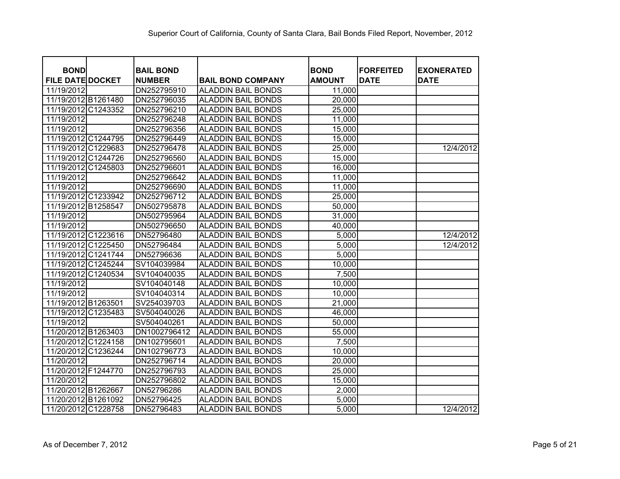| <b>BOND</b>             | <b>BAIL BOND</b> |                           | <b>BOND</b>   | <b>FORFEITED</b> | <b>EXONERATED</b> |
|-------------------------|------------------|---------------------------|---------------|------------------|-------------------|
| <b>FILE DATE DOCKET</b> | <b>NUMBER</b>    | <b>BAIL BOND COMPANY</b>  | <b>AMOUNT</b> | <b>DATE</b>      | <b>DATE</b>       |
| 11/19/2012              | DN252795910      | <b>ALADDIN BAIL BONDS</b> | 11,000        |                  |                   |
| 11/19/2012 B1261480     | DN252796035      | <b>ALADDIN BAIL BONDS</b> | 20,000        |                  |                   |
| 11/19/2012 C1243352     | DN252796210      | <b>ALADDIN BAIL BONDS</b> | 25,000        |                  |                   |
| 11/19/2012              | DN252796248      | <b>ALADDIN BAIL BONDS</b> | 11,000        |                  |                   |
| 11/19/2012              | DN252796356      | <b>ALADDIN BAIL BONDS</b> | 15,000        |                  |                   |
| 11/19/2012 C1244795     | DN252796449      | <b>ALADDIN BAIL BONDS</b> | 15,000        |                  |                   |
| 11/19/2012 C1229683     | DN252796478      | <b>ALADDIN BAIL BONDS</b> | 25,000        |                  | 12/4/2012         |
| 11/19/2012 C1244726     | DN252796560      | <b>ALADDIN BAIL BONDS</b> | 15,000        |                  |                   |
| 11/19/2012 C1245803     | DN252796601      | <b>ALADDIN BAIL BONDS</b> | 16,000        |                  |                   |
| 11/19/2012              | DN252796642      | <b>ALADDIN BAIL BONDS</b> | 11,000        |                  |                   |
| 11/19/2012              | DN252796690      | <b>ALADDIN BAIL BONDS</b> | 11,000        |                  |                   |
| 11/19/2012 C1233942     | DN252796712      | <b>ALADDIN BAIL BONDS</b> | 25,000        |                  |                   |
| 11/19/2012 B1258547     | DN502795878      | <b>ALADDIN BAIL BONDS</b> | 50,000        |                  |                   |
| 11/19/2012              | DN502795964      | <b>ALADDIN BAIL BONDS</b> | 31,000        |                  |                   |
| 11/19/2012              | DN502796650      | <b>ALADDIN BAIL BONDS</b> | 40,000        |                  |                   |
| 11/19/2012 C1223616     | DN52796480       | <b>ALADDIN BAIL BONDS</b> | 5,000         |                  | 12/4/2012         |
| 11/19/2012 C1225450     | DN52796484       | <b>ALADDIN BAIL BONDS</b> | 5,000         |                  | 12/4/2012         |
| 11/19/2012 C1241744     | DN52796636       | <b>ALADDIN BAIL BONDS</b> | 5,000         |                  |                   |
| 11/19/2012 C1245244     | SV104039984      | <b>ALADDIN BAIL BONDS</b> | 10,000        |                  |                   |
| 11/19/2012 C1240534     | SV104040035      | <b>ALADDIN BAIL BONDS</b> | 7,500         |                  |                   |
| 11/19/2012              | SV104040148      | <b>ALADDIN BAIL BONDS</b> | 10,000        |                  |                   |
| 11/19/2012              | SV104040314      | <b>ALADDIN BAIL BONDS</b> | 10,000        |                  |                   |
| 11/19/2012 B1263501     | SV254039703      | <b>ALADDIN BAIL BONDS</b> | 21,000        |                  |                   |
| 11/19/2012 C1235483     | SV504040026      | <b>ALADDIN BAIL BONDS</b> | 46,000        |                  |                   |
| 11/19/2012              | SV504040261      | <b>ALADDIN BAIL BONDS</b> | 50,000        |                  |                   |
| 11/20/2012 B1263403     | DN1002796412     | <b>ALADDIN BAIL BONDS</b> | 55,000        |                  |                   |
| 11/20/2012 C1224158     | DN102795601      | <b>ALADDIN BAIL BONDS</b> | 7,500         |                  |                   |
| 11/20/2012 C1236244     | DN102796773      | <b>ALADDIN BAIL BONDS</b> | 10,000        |                  |                   |
| 11/20/2012              | DN252796714      | <b>ALADDIN BAIL BONDS</b> | 20,000        |                  |                   |
| 11/20/2012 F1244770     | DN252796793      | <b>ALADDIN BAIL BONDS</b> | 25,000        |                  |                   |
| 11/20/2012              | DN252796802      | <b>ALADDIN BAIL BONDS</b> | 15,000        |                  |                   |
| 11/20/2012 B1262667     | DN52796286       | <b>ALADDIN BAIL BONDS</b> | 2,000         |                  |                   |
| 11/20/2012 B1261092     | DN52796425       | <b>ALADDIN BAIL BONDS</b> | 5,000         |                  |                   |
| 11/20/2012 C1228758     | DN52796483       | <b>ALADDIN BAIL BONDS</b> | 5,000         |                  | 12/4/2012         |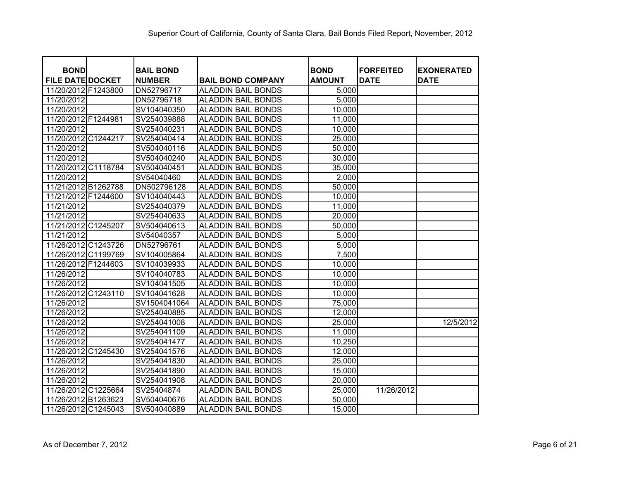| <b>BOND</b>             | <b>BAIL BOND</b> |                           | <b>BOND</b>   | <b>FORFEITED</b> | <b>EXONERATED</b> |
|-------------------------|------------------|---------------------------|---------------|------------------|-------------------|
| <b>FILE DATE DOCKET</b> | <b>NUMBER</b>    | <b>BAIL BOND COMPANY</b>  | <b>AMOUNT</b> | <b>DATE</b>      | <b>DATE</b>       |
| 11/20/2012 F1243800     | DN52796717       | <b>ALADDIN BAIL BONDS</b> | 5,000         |                  |                   |
| 11/20/2012              | DN52796718       | <b>ALADDIN BAIL BONDS</b> | 5,000         |                  |                   |
| 11/20/2012              | SV104040350      | <b>ALADDIN BAIL BONDS</b> | 10,000        |                  |                   |
| 11/20/2012 F1244981     | SV254039888      | <b>ALADDIN BAIL BONDS</b> | 11,000        |                  |                   |
| 11/20/2012              | SV254040231      | <b>ALADDIN BAIL BONDS</b> | 10,000        |                  |                   |
| 11/20/2012 C1244217     | SV254040414      | <b>ALADDIN BAIL BONDS</b> | 25,000        |                  |                   |
| 11/20/2012              | SV504040116      | <b>ALADDIN BAIL BONDS</b> | 50,000        |                  |                   |
| 11/20/2012              | SV504040240      | <b>ALADDIN BAIL BONDS</b> | 30,000        |                  |                   |
| 11/20/2012 C1118784     | SV504040451      | <b>ALADDIN BAIL BONDS</b> | 35,000        |                  |                   |
| 11/20/2012              | SV54040460       | <b>ALADDIN BAIL BONDS</b> | 2,000         |                  |                   |
| 11/21/2012 B1262788     | DN502796128      | <b>ALADDIN BAIL BONDS</b> | 50,000        |                  |                   |
| 11/21/2012 F1244600     | SV104040443      | <b>ALADDIN BAIL BONDS</b> | 10,000        |                  |                   |
| 11/21/2012              | SV254040379      | <b>ALADDIN BAIL BONDS</b> | 11,000        |                  |                   |
| 11/21/2012              | SV254040633      | <b>ALADDIN BAIL BONDS</b> | 20,000        |                  |                   |
| 11/21/2012 C1245207     | SV504040613      | <b>ALADDIN BAIL BONDS</b> | 50,000        |                  |                   |
| 11/21/2012              | SV54040357       | <b>ALADDIN BAIL BONDS</b> | 5,000         |                  |                   |
| 11/26/2012 C1243726     | DN52796761       | <b>ALADDIN BAIL BONDS</b> | 5,000         |                  |                   |
| 11/26/2012 C1199769     | SV104005864      | <b>ALADDIN BAIL BONDS</b> | 7,500         |                  |                   |
| 11/26/2012 F1244603     | SV104039933      | <b>ALADDIN BAIL BONDS</b> | 10,000        |                  |                   |
| 11/26/2012              | SV104040783      | <b>ALADDIN BAIL BONDS</b> | 10,000        |                  |                   |
| 11/26/2012              | SV104041505      | <b>ALADDIN BAIL BONDS</b> | 10,000        |                  |                   |
| 11/26/2012 C1243110     | SV104041628      | <b>ALADDIN BAIL BONDS</b> | 10,000        |                  |                   |
| 11/26/2012              | SV1504041064     | <b>ALADDIN BAIL BONDS</b> | 75,000        |                  |                   |
| 11/26/2012              | SV254040885      | <b>ALADDIN BAIL BONDS</b> | 12,000        |                  |                   |
| 11/26/2012              | SV254041008      | <b>ALADDIN BAIL BONDS</b> | 25,000        |                  | 12/5/2012         |
| 11/26/2012              | SV254041109      | <b>ALADDIN BAIL BONDS</b> | 11,000        |                  |                   |
| 11/26/2012              | SV254041477      | <b>ALADDIN BAIL BONDS</b> | 10,250        |                  |                   |
| 11/26/2012<br>C1245430  | SV254041576      | <b>ALADDIN BAIL BONDS</b> | 12,000        |                  |                   |
| 11/26/2012              | SV254041830      | <b>ALADDIN BAIL BONDS</b> | 25,000        |                  |                   |
| 11/26/2012              | SV254041890      | <b>ALADDIN BAIL BONDS</b> | 15,000        |                  |                   |
| 11/26/2012              | SV254041908      | <b>ALADDIN BAIL BONDS</b> | 20,000        |                  |                   |
| 11/26/2012 C1225664     | SV25404874       | <b>ALADDIN BAIL BONDS</b> | 25,000        | 11/26/2012       |                   |
| 11/26/2012 B1263623     | SV504040676      | <b>ALADDIN BAIL BONDS</b> | 50,000        |                  |                   |
| 11/26/2012 C1245043     | SV504040889      | <b>ALADDIN BAIL BONDS</b> | 15,000        |                  |                   |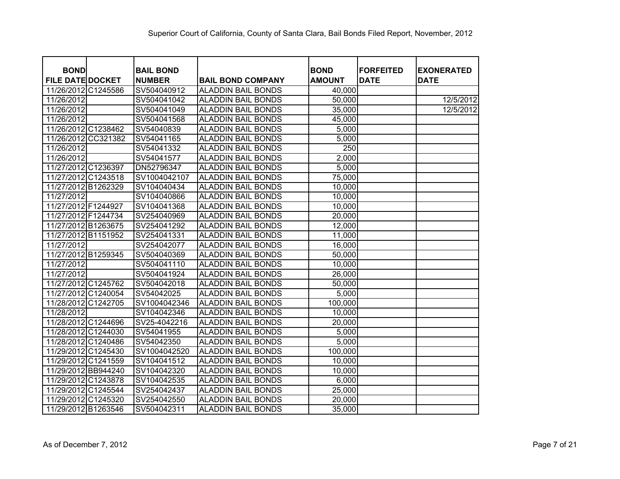| <b>BOND</b>             |          | <b>BAIL BOND</b> |                           | <b>BOND</b>   | <b>FORFEITED</b> | <b>EXONERATED</b> |
|-------------------------|----------|------------------|---------------------------|---------------|------------------|-------------------|
| <b>FILE DATE DOCKET</b> |          | <b>NUMBER</b>    | <b>BAIL BOND COMPANY</b>  | <b>AMOUNT</b> | <b>DATE</b>      | <b>DATE</b>       |
| 11/26/2012              | C1245586 | SV504040912      | <b>ALADDIN BAIL BONDS</b> | 40,000        |                  |                   |
| 11/26/2012              |          | SV504041042      | ALADDIN BAIL BONDS        | 50,000        |                  | 12/5/2012         |
| 11/26/2012              |          | SV504041049      | <b>ALADDIN BAIL BONDS</b> | 35,000        |                  | 12/5/2012         |
| 11/26/2012              |          | SV504041568      | <b>ALADDIN BAIL BONDS</b> | 45,000        |                  |                   |
| 11/26/2012 C1238462     |          | SV54040839       | <b>ALADDIN BAIL BONDS</b> | 5,000         |                  |                   |
| 11/26/2012              | CC321382 | SV54041165       | <b>ALADDIN BAIL BONDS</b> | 5,000         |                  |                   |
| 11/26/2012              |          | SV54041332       | <b>ALADDIN BAIL BONDS</b> | 250           |                  |                   |
| 11/26/2012              |          | SV54041577       | <b>ALADDIN BAIL BONDS</b> | 2,000         |                  |                   |
| 11/27/2012 C1236397     |          | DN52796347       | <b>ALADDIN BAIL BONDS</b> | 5,000         |                  |                   |
| 11/27/2012 C1243518     |          | SV1004042107     | <b>ALADDIN BAIL BONDS</b> | 75,000        |                  |                   |
| 11/27/2012              | B1262329 | SV104040434      | <b>ALADDIN BAIL BONDS</b> | 10,000        |                  |                   |
| 11/27/2012              |          | SV104040866      | <b>ALADDIN BAIL BONDS</b> | 10,000        |                  |                   |
| 11/27/2012 F1244927     |          | SV104041368      | <b>ALADDIN BAIL BONDS</b> | 10,000        |                  |                   |
| 11/27/2012 F1244734     |          | SV254040969      | <b>ALADDIN BAIL BONDS</b> | 20,000        |                  |                   |
| 11/27/2012 B1263675     |          | SV254041292      | <b>ALADDIN BAIL BONDS</b> | 12,000        |                  |                   |
| 11/27/2012 B1151952     |          | SV254041331      | <b>ALADDIN BAIL BONDS</b> | 11,000        |                  |                   |
| 11/27/2012              |          | SV254042077      | <b>ALADDIN BAIL BONDS</b> | 16,000        |                  |                   |
| 11/27/2012 B1259345     |          | SV504040369      | <b>ALADDIN BAIL BONDS</b> | 50,000        |                  |                   |
| 11/27/2012              |          | SV504041110      | <b>ALADDIN BAIL BONDS</b> | 10,000        |                  |                   |
| 11/27/2012              |          | SV504041924      | <b>ALADDIN BAIL BONDS</b> | 26,000        |                  |                   |
| 11/27/2012 C1245762     |          | SV504042018      | <b>ALADDIN BAIL BONDS</b> | 50,000        |                  |                   |
| 11/27/2012 C1240054     |          | SV54042025       | <b>ALADDIN BAIL BONDS</b> | 5,000         |                  |                   |
| 11/28/2012              | C1242705 | SV1004042346     | <b>ALADDIN BAIL BONDS</b> | 100,000       |                  |                   |
| 11/28/2012              |          | SV104042346      | ALADDIN BAIL BONDS        | 10,000        |                  |                   |
| 11/28/2012 C1244696     |          | SV25-4042216     | <b>ALADDIN BAIL BONDS</b> | 20,000        |                  |                   |
| 11/28/2012 C1244030     |          | SV54041955       | ALADDIN BAIL BONDS        | 5,000         |                  |                   |
| 11/28/2012 C1240486     |          | SV54042350       | <b>ALADDIN BAIL BONDS</b> | 5,000         |                  |                   |
| 11/29/2012 C1245430     |          | SV1004042520     | <b>ALADDIN BAIL BONDS</b> | 100,000       |                  |                   |
| 11/29/2012 C1241559     |          | SV104041512      | <b>ALADDIN BAIL BONDS</b> | 10,000        |                  |                   |
| 11/29/2012 BB944240     |          | SV104042320      | <b>ALADDIN BAIL BONDS</b> | 10,000        |                  |                   |
| 11/29/2012 C1243878     |          | SV104042535      | <b>ALADDIN BAIL BONDS</b> | 6,000         |                  |                   |
| 11/29/2012 C1245544     |          | SV254042437      | <b>ALADDIN BAIL BONDS</b> | 25,000        |                  |                   |
| 11/29/2012 C1245320     |          | SV254042550      | <b>ALADDIN BAIL BONDS</b> | 20,000        |                  |                   |
| 11/29/2012 B1263546     |          | SV504042311      | <b>ALADDIN BAIL BONDS</b> | 35,000        |                  |                   |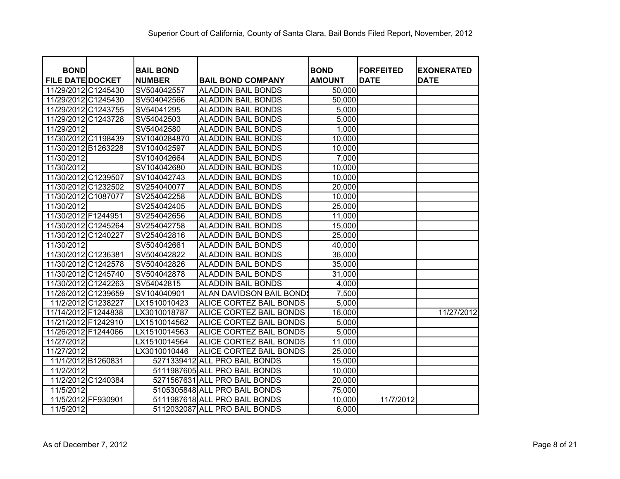| <b>BOND</b>             |                    | <b>BAIL BOND</b> |                               | <b>BOND</b>   | <b>FORFEITED</b> | <b>EXONERATED</b> |
|-------------------------|--------------------|------------------|-------------------------------|---------------|------------------|-------------------|
| <b>FILE DATE DOCKET</b> |                    | <b>NUMBER</b>    | <b>BAIL BOND COMPANY</b>      | <b>AMOUNT</b> | <b>DATE</b>      | <b>DATE</b>       |
| 11/29/2012 C1245430     |                    | SV504042557      | <b>ALADDIN BAIL BONDS</b>     | 50,000        |                  |                   |
| 11/29/2012 C1245430     |                    | SV504042566      | <b>ALADDIN BAIL BONDS</b>     | 50,000        |                  |                   |
| 11/29/2012 C1243755     |                    | SV54041295       | <b>ALADDIN BAIL BONDS</b>     | 5,000         |                  |                   |
| 11/29/2012 C1243728     |                    | SV54042503       | <b>ALADDIN BAIL BONDS</b>     | 5,000         |                  |                   |
| 11/29/2012              |                    | SV54042580       | <b>ALADDIN BAIL BONDS</b>     | 1,000         |                  |                   |
| 11/30/2012 C1198439     |                    | SV1040284870     | <b>ALADDIN BAIL BONDS</b>     | 10,000        |                  |                   |
| 11/30/2012 B1263228     |                    | SV104042597      | <b>ALADDIN BAIL BONDS</b>     | 10,000        |                  |                   |
| 11/30/2012              |                    | SV104042664      | <b>ALADDIN BAIL BONDS</b>     | 7,000         |                  |                   |
| 11/30/2012              |                    | SV104042680      | <b>ALADDIN BAIL BONDS</b>     | 10,000        |                  |                   |
| 11/30/2012 C1239507     |                    | SV104042743      | <b>ALADDIN BAIL BONDS</b>     | 10,000        |                  |                   |
| 11/30/2012 C1232502     |                    | SV254040077      | <b>ALADDIN BAIL BONDS</b>     | 20,000        |                  |                   |
| 11/30/2012 C1087077     |                    | SV254042258      | <b>ALADDIN BAIL BONDS</b>     | 10,000        |                  |                   |
| 11/30/2012              |                    | SV254042405      | <b>ALADDIN BAIL BONDS</b>     | 25,000        |                  |                   |
| 11/30/2012 F1244951     |                    | SV254042656      | <b>ALADDIN BAIL BONDS</b>     | 11,000        |                  |                   |
| 11/30/2012 C1245264     |                    | SV254042758      | <b>ALADDIN BAIL BONDS</b>     | 15,000        |                  |                   |
| 11/30/2012 C1240227     |                    | SV254042816      | <b>ALADDIN BAIL BONDS</b>     | 25,000        |                  |                   |
| 11/30/2012              |                    | SV504042661      | <b>ALADDIN BAIL BONDS</b>     | 40,000        |                  |                   |
| 11/30/2012 C1236381     |                    | SV504042822      | <b>ALADDIN BAIL BONDS</b>     | 36,000        |                  |                   |
| 11/30/2012 C1242578     |                    | SV504042826      | <b>ALADDIN BAIL BONDS</b>     | 35,000        |                  |                   |
| 11/30/2012 C1245740     |                    | SV504042878      | <b>ALADDIN BAIL BONDS</b>     | 31,000        |                  |                   |
| 11/30/2012 C1242263     |                    | SV54042815       | <b>ALADDIN BAIL BONDS</b>     | 4,000         |                  |                   |
| 11/26/2012 C1239659     |                    | SV104040901      | ALAN DAVIDSON BAIL BONDS      | 7,500         |                  |                   |
| 11/2/2012 C1238227      |                    | LX1510010423     | ALICE CORTEZ BAIL BONDS       | 5,000         |                  |                   |
| 11/14/2012 F1244838     |                    | LX3010018787     | ALICE CORTEZ BAIL BONDS       | 16,000        |                  | 11/27/2012        |
| 11/21/2012 F1242910     |                    | LX1510014562     | ALICE CORTEZ BAIL BONDS       | 5,000         |                  |                   |
| 11/26/2012 F1244066     |                    | LX1510014563     | ALICE CORTEZ BAIL BONDS       | 5,000         |                  |                   |
| 11/27/2012              |                    | LX1510014564     | ALICE CORTEZ BAIL BONDS       | 11,000        |                  |                   |
| 11/27/2012              |                    | LX3010010446     | ALICE CORTEZ BAIL BONDS       | 25,000        |                  |                   |
| 11/1/2012 B1260831      |                    |                  | 5271339412 ALL PRO BAIL BONDS | 15,000        |                  |                   |
| 11/2/2012               |                    |                  | 5111987605 ALL PRO BAIL BONDS | 10,000        |                  |                   |
|                         | 11/2/2012 C1240384 |                  | 5271567631 ALL PRO BAIL BONDS | 20,000        |                  |                   |
| 11/5/2012               |                    |                  | 5105305848 ALL PRO BAIL BONDS | 75,000        |                  |                   |
| 11/5/2012 FF930901      |                    |                  | 5111987618 ALL PRO BAIL BONDS | 10,000        | 11/7/2012        |                   |
| 11/5/2012               |                    |                  | 5112032087 ALL PRO BAIL BONDS | 6,000         |                  |                   |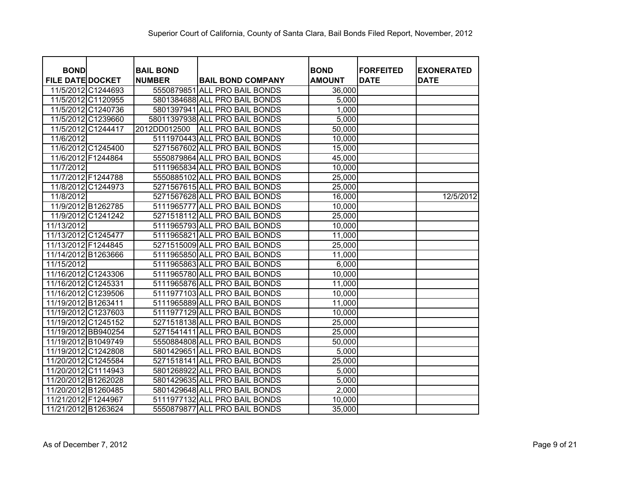| <b>BOND</b>             |                    | <b>BAIL BOND</b> |                                | <b>BOND</b>   | <b>FORFEITED</b> | <b>EXONERATED</b> |
|-------------------------|--------------------|------------------|--------------------------------|---------------|------------------|-------------------|
| <b>FILE DATE DOCKET</b> |                    | <b>NUMBER</b>    | <b>BAIL BOND COMPANY</b>       | <b>AMOUNT</b> | <b>DATE</b>      | <b>DATE</b>       |
|                         | 11/5/2012 C1244693 |                  | 5550879851 ALL PRO BAIL BONDS  | 36,000        |                  |                   |
|                         | 11/5/2012 C1120955 |                  | 5801384688 ALL PRO BAIL BONDS  | 5,000         |                  |                   |
|                         | 11/5/2012 C1240736 |                  | 5801397941 ALL PRO BAIL BONDS  | 1,000         |                  |                   |
|                         | 11/5/2012 C1239660 |                  | 58011397938 ALL PRO BAIL BONDS | 5,000         |                  |                   |
|                         | 11/5/2012 C1244417 | 2012DD012500     | <b>ALL PRO BAIL BONDS</b>      | 50,000        |                  |                   |
| 11/6/2012               |                    |                  | 5111970443 ALL PRO BAIL BONDS  | 10,000        |                  |                   |
|                         | 11/6/2012 C1245400 |                  | 5271567602 ALL PRO BAIL BONDS  | 15,000        |                  |                   |
|                         | 11/6/2012 F1244864 |                  | 5550879864 ALL PRO BAIL BONDS  | 45,000        |                  |                   |
| 11/7/2012               |                    |                  | 5111965834 ALL PRO BAIL BONDS  | 10,000        |                  |                   |
|                         | 11/7/2012 F1244788 |                  | 5550885102 ALL PRO BAIL BONDS  | 25,000        |                  |                   |
|                         | 11/8/2012 C1244973 |                  | 5271567615 ALL PRO BAIL BONDS  | 25,000        |                  |                   |
| 11/8/2012               |                    |                  | 5271567628 ALL PRO BAIL BONDS  | 16,000        |                  | 12/5/2012         |
|                         | 11/9/2012 B1262785 |                  | 5111965777 ALL PRO BAIL BONDS  | 10,000        |                  |                   |
|                         | 11/9/2012 C1241242 |                  | 5271518112 ALL PRO BAIL BONDS  | 25,000        |                  |                   |
| 11/13/2012              |                    |                  | 5111965793 ALL PRO BAIL BONDS  | 10,000        |                  |                   |
| 11/13/2012 C1245477     |                    |                  | 5111965821 ALL PRO BAIL BONDS  | 11,000        |                  |                   |
| 11/13/2012 F1244845     |                    |                  | 5271515009 ALL PRO BAIL BONDS  | 25,000        |                  |                   |
| 11/14/2012 B1263666     |                    |                  | 5111965850 ALL PRO BAIL BONDS  | 11,000        |                  |                   |
| 11/15/2012              |                    |                  | 5111965863 ALL PRO BAIL BONDS  | 6,000         |                  |                   |
| 11/16/2012 C1243306     |                    |                  | 5111965780 ALL PRO BAIL BONDS  | 10,000        |                  |                   |
| 11/16/2012 C1245331     |                    |                  | 5111965876 ALL PRO BAIL BONDS  | 11,000        |                  |                   |
| 11/16/2012 C1239506     |                    |                  | 5111977103 ALL PRO BAIL BONDS  | 10,000        |                  |                   |
| 11/19/2012 B1263411     |                    |                  | 5111965889 ALL PRO BAIL BONDS  | 11,000        |                  |                   |
| 11/19/2012 C1237603     |                    |                  | 5111977129 ALL PRO BAIL BONDS  | 10,000        |                  |                   |
| 11/19/2012 C1245152     |                    |                  | 5271518138 ALL PRO BAIL BONDS  | 25,000        |                  |                   |
| 11/19/2012 BB940254     |                    |                  | 5271541411 ALL PRO BAIL BONDS  | 25,000        |                  |                   |
| 11/19/2012 B1049749     |                    |                  | 5550884808 ALL PRO BAIL BONDS  | 50,000        |                  |                   |
| 11/19/2012 C1242808     |                    |                  | 5801429651 ALL PRO BAIL BONDS  | 5,000         |                  |                   |
| 11/20/2012 C1245584     |                    |                  | 5271518141 ALL PRO BAIL BONDS  | 25,000        |                  |                   |
| 11/20/2012 C1114943     |                    |                  | 5801268922 ALL PRO BAIL BONDS  | 5,000         |                  |                   |
| 11/20/2012 B1262028     |                    |                  | 5801429635 ALL PRO BAIL BONDS  | 5,000         |                  |                   |
| 11/20/2012 B1260485     |                    |                  | 5801429648 ALL PRO BAIL BONDS  | 2,000         |                  |                   |
| 11/21/2012 F1244967     |                    |                  | 5111977132 ALL PRO BAIL BONDS  | 10,000        |                  |                   |
| 11/21/2012 B1263624     |                    |                  | 5550879877 ALL PRO BAIL BONDS  | 35,000        |                  |                   |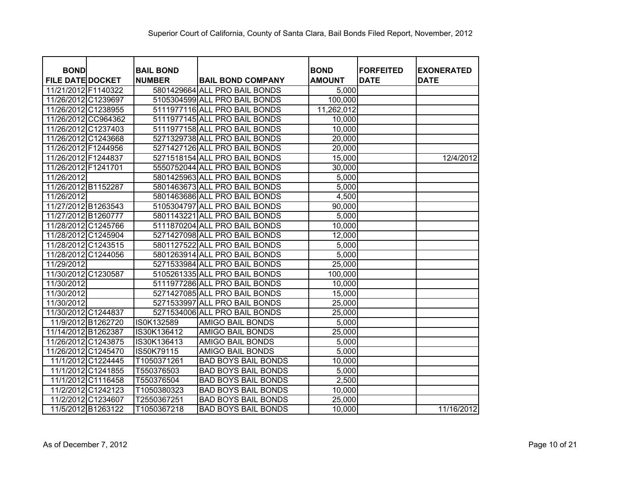| <b>BOND</b>             |                    | <b>BAIL BOND</b> |                               | <b>BOND</b>   | <b>FORFEITED</b> | <b>EXONERATED</b> |
|-------------------------|--------------------|------------------|-------------------------------|---------------|------------------|-------------------|
| <b>FILE DATE DOCKET</b> |                    | <b>NUMBER</b>    | <b>BAIL BOND COMPANY</b>      | <b>AMOUNT</b> | <b>DATE</b>      | <b>DATE</b>       |
| 11/21/2012 F1140322     |                    |                  | 5801429664 ALL PRO BAIL BONDS | 5,000         |                  |                   |
| 11/26/2012 C1239697     |                    |                  | 5105304599 ALL PRO BAIL BONDS | 100,000       |                  |                   |
| 11/26/2012 C1238955     |                    |                  | 5111977116 ALL PRO BAIL BONDS | 11,262,012    |                  |                   |
| 11/26/2012 CC964362     |                    |                  | 5111977145 ALL PRO BAIL BONDS | 10,000        |                  |                   |
| 11/26/2012 C1237403     |                    |                  | 5111977158 ALL PRO BAIL BONDS | 10,000        |                  |                   |
| 11/26/2012 C1243668     |                    |                  | 5271329738 ALL PRO BAIL BONDS | 20,000        |                  |                   |
| 11/26/2012 F1244956     |                    |                  | 5271427126 ALL PRO BAIL BONDS | 20,000        |                  |                   |
| 11/26/2012 F1244837     |                    |                  | 5271518154 ALL PRO BAIL BONDS | 15,000        |                  | 12/4/2012         |
| 11/26/2012 F1241701     |                    |                  | 5550752044 ALL PRO BAIL BONDS | 30,000        |                  |                   |
| 11/26/2012              |                    |                  | 5801425963 ALL PRO BAIL BONDS | 5,000         |                  |                   |
| 11/26/2012 B1152287     |                    |                  | 5801463673 ALL PRO BAIL BONDS | 5,000         |                  |                   |
| 11/26/2012              |                    |                  | 5801463686 ALL PRO BAIL BONDS | 4,500         |                  |                   |
| 11/27/2012 B1263543     |                    |                  | 5105304797 ALL PRO BAIL BONDS | 90,000        |                  |                   |
| 11/27/2012 B1260777     |                    |                  | 5801143221 ALL PRO BAIL BONDS | 5,000         |                  |                   |
| 11/28/2012 C1245766     |                    |                  | 5111870204 ALL PRO BAIL BONDS | 10,000        |                  |                   |
| 11/28/2012 C1245904     |                    |                  | 5271427098 ALL PRO BAIL BONDS | 12,000        |                  |                   |
| 11/28/2012 C1243515     |                    |                  | 5801127522 ALL PRO BAIL BONDS | 5,000         |                  |                   |
| 11/28/2012 C1244056     |                    |                  | 5801263914 ALL PRO BAIL BONDS | 5,000         |                  |                   |
| 11/29/2012              |                    |                  | 5271533984 ALL PRO BAIL BONDS | 25,000        |                  |                   |
| 11/30/2012 C1230587     |                    |                  | 5105261335 ALL PRO BAIL BONDS | 100,000       |                  |                   |
| 11/30/2012              |                    |                  | 5111977286 ALL PRO BAIL BONDS | 10,000        |                  |                   |
| 11/30/2012              |                    |                  | 5271427085 ALL PRO BAIL BONDS | 15,000        |                  |                   |
| 11/30/2012              |                    |                  | 5271533997 ALL PRO BAIL BONDS | 25,000        |                  |                   |
| 11/30/2012 C1244837     |                    |                  | 5271534006 ALL PRO BAIL BONDS | 25,000        |                  |                   |
| 11/9/2012 B1262720      |                    | IS0K132589       | <b>AMIGO BAIL BONDS</b>       | 5,000         |                  |                   |
| 11/14/2012 B1262387     |                    | IS30K136412      | <b>AMIGO BAIL BONDS</b>       | 25,000        |                  |                   |
| 11/26/2012 C1243875     |                    | IS30K136413      | <b>AMIGO BAIL BONDS</b>       | 5,000         |                  |                   |
| 11/26/2012 C1245470     |                    | IS50K79115       | <b>AMIGO BAIL BONDS</b>       | 5,000         |                  |                   |
| 11/1/2012 C1224445      |                    | T1050371261      | <b>BAD BOYS BAIL BONDS</b>    | 10,000        |                  |                   |
|                         | 11/1/2012 C1241855 | T550376503       | <b>BAD BOYS BAIL BONDS</b>    | 5,000         |                  |                   |
|                         | 11/1/2012 C1116458 | T550376504       | <b>BAD BOYS BAIL BONDS</b>    | 2,500         |                  |                   |
|                         | 11/2/2012 C1242123 | T1050380323      | <b>BAD BOYS BAIL BONDS</b>    | 10,000        |                  |                   |
| 11/2/2012 C1234607      |                    | T2550367251      | <b>BAD BOYS BAIL BONDS</b>    | 25,000        |                  |                   |
|                         | 11/5/2012 B1263122 | T1050367218      | <b>BAD BOYS BAIL BONDS</b>    | 10,000        |                  | 11/16/2012        |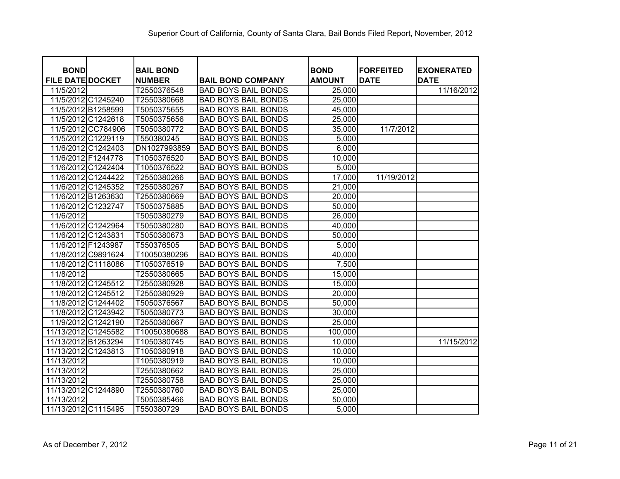| <b>BOND</b>             |                    | <b>BAIL BOND</b> |                            | <b>BOND</b>   | <b>FORFEITED</b> | <b>EXONERATED</b> |
|-------------------------|--------------------|------------------|----------------------------|---------------|------------------|-------------------|
| <b>FILE DATE DOCKET</b> |                    | <b>NUMBER</b>    | <b>BAIL BOND COMPANY</b>   | <b>AMOUNT</b> | <b>DATE</b>      | <b>DATE</b>       |
| 11/5/2012               |                    | T2550376548      | <b>BAD BOYS BAIL BONDS</b> | 25,000        |                  | 11/16/2012        |
|                         | 11/5/2012 C1245240 | T2550380668      | <b>BAD BOYS BAIL BONDS</b> | 25,000        |                  |                   |
|                         | 11/5/2012 B1258599 | T5050375655      | <b>BAD BOYS BAIL BONDS</b> | 45,000        |                  |                   |
|                         | 11/5/2012 C1242618 | T5050375656      | <b>BAD BOYS BAIL BONDS</b> | 25,000        |                  |                   |
|                         | 11/5/2012 CC784906 | T5050380772      | <b>BAD BOYS BAIL BONDS</b> | 35,000        | 11/7/2012        |                   |
|                         | 11/5/2012 C1229119 | T550380245       | <b>BAD BOYS BAIL BONDS</b> | 5,000         |                  |                   |
|                         | 11/6/2012 C1242403 | DN1027993859     | <b>BAD BOYS BAIL BONDS</b> | 6,000         |                  |                   |
|                         | 11/6/2012 F1244778 | T1050376520      | <b>BAD BOYS BAIL BONDS</b> | 10,000        |                  |                   |
|                         | 11/6/2012 C1242404 | T1050376522      | <b>BAD BOYS BAIL BONDS</b> | 5,000         |                  |                   |
|                         | 11/6/2012 C1244422 | T2550380266      | <b>BAD BOYS BAIL BONDS</b> | 17,000        | 11/19/2012       |                   |
|                         | 11/6/2012 C1245352 | T2550380267      | <b>BAD BOYS BAIL BONDS</b> | 21,000        |                  |                   |
|                         | 11/6/2012 B1263630 | T2550380669      | <b>BAD BOYS BAIL BONDS</b> | 20,000        |                  |                   |
| 11/6/2012               | C1232747           | T5050375885      | <b>BAD BOYS BAIL BONDS</b> | 50,000        |                  |                   |
| 11/6/2012               |                    | T5050380279      | <b>BAD BOYS BAIL BONDS</b> | 26,000        |                  |                   |
|                         | 11/6/2012 C1242964 | T5050380280      | <b>BAD BOYS BAIL BONDS</b> | 40,000        |                  |                   |
|                         | 11/6/2012 C1243831 | T5050380673      | <b>BAD BOYS BAIL BONDS</b> | 50,000        |                  |                   |
|                         | 11/6/2012 F1243987 | T550376505       | <b>BAD BOYS BAIL BONDS</b> | 5,000         |                  |                   |
|                         | 11/8/2012 C9891624 | T10050380296     | <b>BAD BOYS BAIL BONDS</b> | 40,000        |                  |                   |
| 11/8/2012               | C1118086           | T1050376519      | <b>BAD BOYS BAIL BONDS</b> | 7,500         |                  |                   |
| 11/8/2012               |                    | T2550380665      | <b>BAD BOYS BAIL BONDS</b> | 15,000        |                  |                   |
|                         | 11/8/2012 C1245512 | T2550380928      | <b>BAD BOYS BAIL BONDS</b> | 15,000        |                  |                   |
|                         | 11/8/2012 C1245512 | T2550380929      | <b>BAD BOYS BAIL BONDS</b> | 20,000        |                  |                   |
|                         | 11/8/2012 C1244402 | T5050376567      | <b>BAD BOYS BAIL BONDS</b> | 50,000        |                  |                   |
|                         | 11/8/2012 C1243942 | T5050380773      | <b>BAD BOYS BAIL BONDS</b> | 30,000        |                  |                   |
|                         | 11/9/2012 C1242190 | T2550380667      | <b>BAD BOYS BAIL BONDS</b> | 25,000        |                  |                   |
| 11/13/2012 C1245582     |                    | T10050380688     | <b>BAD BOYS BAIL BONDS</b> | 100,000       |                  |                   |
| 11/13/2012 B1263294     |                    | T1050380745      | <b>BAD BOYS BAIL BONDS</b> | 10,000        |                  | 11/15/2012        |
| 11/13/2012              | C1243813           | T1050380918      | <b>BAD BOYS BAIL BONDS</b> | 10,000        |                  |                   |
| 11/13/2012              |                    | T1050380919      | <b>BAD BOYS BAIL BONDS</b> | 10,000        |                  |                   |
| 11/13/2012              |                    | T2550380662      | <b>BAD BOYS BAIL BONDS</b> | 25,000        |                  |                   |
| 11/13/2012              |                    | T2550380758      | <b>BAD BOYS BAIL BONDS</b> | 25,000        |                  |                   |
| 11/13/2012              | C1244890           | T2550380760      | <b>BAD BOYS BAIL BONDS</b> | 25,000        |                  |                   |
| 11/13/2012              |                    | T5050385466      | <b>BAD BOYS BAIL BONDS</b> | 50,000        |                  |                   |
| 11/13/2012 C1115495     |                    | T550380729       | <b>BAD BOYS BAIL BONDS</b> | 5,000         |                  |                   |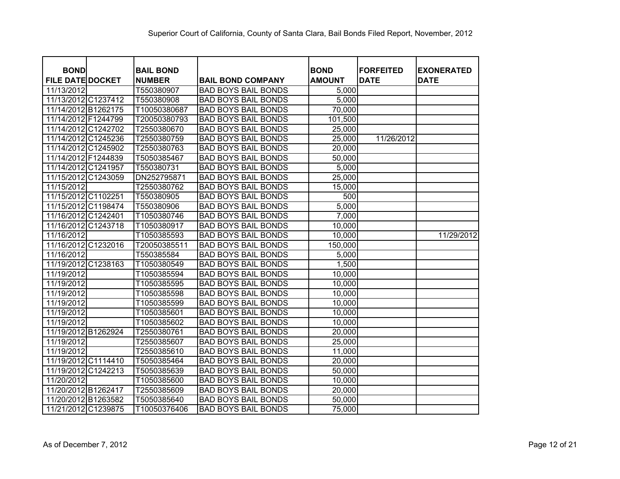| <b>BOND</b><br><b>FILE DATE DOCKET</b> | <b>BAIL BOND</b><br><b>NUMBER</b> | <b>BAIL BOND COMPANY</b>   | <b>BOND</b><br><b>AMOUNT</b> | <b>FORFEITED</b><br><b>DATE</b> | <b>EXONERATED</b><br><b>DATE</b> |
|----------------------------------------|-----------------------------------|----------------------------|------------------------------|---------------------------------|----------------------------------|
| 11/13/2012                             | T550380907                        | <b>BAD BOYS BAIL BONDS</b> | 5,000                        |                                 |                                  |
| 11/13/2012 C1237412                    | T550380908                        | <b>BAD BOYS BAIL BONDS</b> | 5,000                        |                                 |                                  |
| 11/14/2012 B1262175                    | T10050380687                      | <b>BAD BOYS BAIL BONDS</b> | 70,000                       |                                 |                                  |
| 11/14/2012 F1244799                    | T20050380793                      | <b>BAD BOYS BAIL BONDS</b> | 101,500                      |                                 |                                  |
| 11/14/2012 C1242702                    | T2550380670                       | <b>BAD BOYS BAIL BONDS</b> | 25,000                       |                                 |                                  |
| 11/14/2012 C1245236                    | T2550380759                       | <b>BAD BOYS BAIL BONDS</b> | 25,000                       | 11/26/2012                      |                                  |
| 11/14/2012 C1245902                    | T2550380763                       | <b>BAD BOYS BAIL BONDS</b> | 20,000                       |                                 |                                  |
| 11/14/2012 F1244839                    | T5050385467                       | <b>BAD BOYS BAIL BONDS</b> | 50,000                       |                                 |                                  |
| 11/14/2012 C1241957                    | T550380731                        | <b>BAD BOYS BAIL BONDS</b> | 5,000                        |                                 |                                  |
| 11/15/2012 C1243059                    | DN252795871                       | <b>BAD BOYS BAIL BONDS</b> | 25,000                       |                                 |                                  |
| 11/15/2012                             | T2550380762                       | <b>BAD BOYS BAIL BONDS</b> | 15,000                       |                                 |                                  |
| 11/15/2012 C1102251                    | T550380905                        | <b>BAD BOYS BAIL BONDS</b> | 500                          |                                 |                                  |
| 11/15/2012 C1198474                    | T550380906                        | <b>BAD BOYS BAIL BONDS</b> | 5,000                        |                                 |                                  |
| 11/16/2012 C1242401                    | T1050380746                       | <b>BAD BOYS BAIL BONDS</b> | 7,000                        |                                 |                                  |
| 11/16/2012 C1243718                    | T1050380917                       | <b>BAD BOYS BAIL BONDS</b> | 10,000                       |                                 |                                  |
| 11/16/2012                             | T1050385593                       | <b>BAD BOYS BAIL BONDS</b> | 10,000                       |                                 | 11/29/2012                       |
| 11/16/2012 C1232016                    | T20050385511                      | <b>BAD BOYS BAIL BONDS</b> | 150,000                      |                                 |                                  |
| 11/16/2012                             | T550385584                        | <b>BAD BOYS BAIL BONDS</b> | 5,000                        |                                 |                                  |
| 11/19/2012 C1238163                    | T1050380549                       | <b>BAD BOYS BAIL BONDS</b> | 1,500                        |                                 |                                  |
| 11/19/2012                             | T1050385594                       | <b>BAD BOYS BAIL BONDS</b> | 10,000                       |                                 |                                  |
| 11/19/2012                             | T1050385595                       | <b>BAD BOYS BAIL BONDS</b> | 10,000                       |                                 |                                  |
| 11/19/2012                             | T1050385598                       | <b>BAD BOYS BAIL BONDS</b> | 10,000                       |                                 |                                  |
| 11/19/2012                             | T1050385599                       | <b>BAD BOYS BAIL BONDS</b> | 10,000                       |                                 |                                  |
| 11/19/2012                             | T1050385601                       | <b>BAD BOYS BAIL BONDS</b> | 10,000                       |                                 |                                  |
| 11/19/2012                             | T1050385602                       | <b>BAD BOYS BAIL BONDS</b> | 10,000                       |                                 |                                  |
| 11/19/2012 B1262924                    | T2550380761                       | <b>BAD BOYS BAIL BONDS</b> | 20,000                       |                                 |                                  |
| 11/19/2012                             | T2550385607                       | <b>BAD BOYS BAIL BONDS</b> | 25,000                       |                                 |                                  |
| 11/19/2012                             | T2550385610                       | <b>BAD BOYS BAIL BONDS</b> | 11,000                       |                                 |                                  |
| 11/19/2012 C1114410                    | T5050385464                       | <b>BAD BOYS BAIL BONDS</b> | 20,000                       |                                 |                                  |
| 11/19/2012 C1242213                    | T5050385639                       | <b>BAD BOYS BAIL BONDS</b> | 50,000                       |                                 |                                  |
| 11/20/2012                             | T1050385600                       | <b>BAD BOYS BAIL BONDS</b> | 10,000                       |                                 |                                  |
| 11/20/2012 B1262417                    | T2550385609                       | <b>BAD BOYS BAIL BONDS</b> | 20,000                       |                                 |                                  |
| 11/20/2012 B1263582                    | T5050385640                       | <b>BAD BOYS BAIL BONDS</b> | 50,000                       |                                 |                                  |
| 11/21/2012 C1239875                    | T10050376406                      | <b>BAD BOYS BAIL BONDS</b> | 75,000                       |                                 |                                  |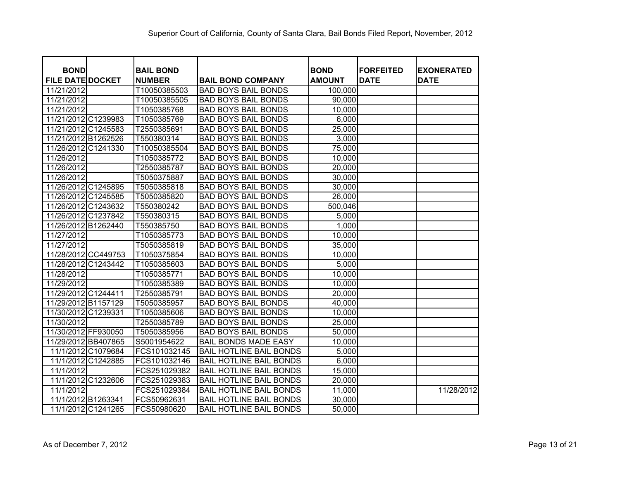| <b>BOND</b>             | <b>BAIL BOND</b> |                                | <b>BOND</b>   | <b>FORFEITED</b> | <b>EXONERATED</b> |
|-------------------------|------------------|--------------------------------|---------------|------------------|-------------------|
| <b>FILE DATE DOCKET</b> | <b>NUMBER</b>    | <b>BAIL BOND COMPANY</b>       | <b>AMOUNT</b> | <b>DATE</b>      | <b>DATE</b>       |
| 11/21/2012              | T10050385503     | <b>BAD BOYS BAIL BONDS</b>     | 100,000       |                  |                   |
| 11/21/2012              | T10050385505     | <b>BAD BOYS BAIL BONDS</b>     | 90,000        |                  |                   |
| 11/21/2012              | T1050385768      | <b>BAD BOYS BAIL BONDS</b>     | 10,000        |                  |                   |
| 11/21/2012 C1239983     | T1050385769      | <b>BAD BOYS BAIL BONDS</b>     | 6,000         |                  |                   |
| 11/21/2012 C1245583     | T2550385691      | <b>BAD BOYS BAIL BONDS</b>     | 25,000        |                  |                   |
| 11/21/2012 B1262526     | T550380314       | <b>BAD BOYS BAIL BONDS</b>     | 3,000         |                  |                   |
| C1241330<br>11/26/2012  | T10050385504     | <b>BAD BOYS BAIL BONDS</b>     | 75,000        |                  |                   |
| 11/26/2012              | T1050385772      | <b>BAD BOYS BAIL BONDS</b>     | 10,000        |                  |                   |
| 11/26/2012              | T2550385787      | <b>BAD BOYS BAIL BONDS</b>     | 20,000        |                  |                   |
| 11/26/2012              | T5050375887      | <b>BAD BOYS BAIL BONDS</b>     | 30,000        |                  |                   |
| 11/26/2012 C1245895     | T5050385818      | <b>BAD BOYS BAIL BONDS</b>     | 30,000        |                  |                   |
| 11/26/2012 C1245585     | T5050385820      | <b>BAD BOYS BAIL BONDS</b>     | 26,000        |                  |                   |
| 11/26/2012 C1243632     | T550380242       | <b>BAD BOYS BAIL BONDS</b>     | 500,046       |                  |                   |
| 11/26/2012 C1237842     | T550380315       | <b>BAD BOYS BAIL BONDS</b>     | 5,000         |                  |                   |
| 11/26/2012 B1262440     | T550385750       | <b>BAD BOYS BAIL BONDS</b>     | 1,000         |                  |                   |
| 11/27/2012              | T1050385773      | <b>BAD BOYS BAIL BONDS</b>     | 10,000        |                  |                   |
| 11/27/2012              | T5050385819      | <b>BAD BOYS BAIL BONDS</b>     | 35,000        |                  |                   |
| 11/28/2012 CC449753     | T1050375854      | <b>BAD BOYS BAIL BONDS</b>     | 10,000        |                  |                   |
| C1243442<br>11/28/2012  | T1050385603      | <b>BAD BOYS BAIL BONDS</b>     | 5,000         |                  |                   |
| 11/28/2012              | T1050385771      | <b>BAD BOYS BAIL BONDS</b>     | 10,000        |                  |                   |
| 11/29/2012              | T1050385389      | <b>BAD BOYS BAIL BONDS</b>     | 10,000        |                  |                   |
| 11/29/2012 C1244411     | T2550385791      | <b>BAD BOYS BAIL BONDS</b>     | 20,000        |                  |                   |
| 11/29/2012 B1157129     | T5050385957      | <b>BAD BOYS BAIL BONDS</b>     | 40,000        |                  |                   |
| C1239331<br>11/30/2012  | T1050385606      | <b>BAD BOYS BAIL BONDS</b>     | 10,000        |                  |                   |
| 11/30/2012              | T2550385789      | <b>BAD BOYS BAIL BONDS</b>     | 25,000        |                  |                   |
| 11/30/2012 FF930050     | T5050385956      | <b>BAD BOYS BAIL BONDS</b>     | 50,000        |                  |                   |
| 11/29/2012 BB407865     | S5001954622      | <b>BAIL BONDS MADE EASY</b>    | 10,000        |                  |                   |
| 11/1/2012 C1079684      | FCS101032145     | <b>BAIL HOTLINE BAIL BONDS</b> | 5,000         |                  |                   |
| C1242885<br>11/1/2012   | FCS101032146     | <b>BAIL HOTLINE BAIL BONDS</b> | 6,000         |                  |                   |
| 11/1/2012               | FCS251029382     | <b>BAIL HOTLINE BAIL BONDS</b> | 15,000        |                  |                   |
| 11/1/2012 C1232606      | FCS251029383     | <b>BAIL HOTLINE BAIL BONDS</b> | 20,000        |                  |                   |
| 11/1/2012               | FCS251029384     | <b>BAIL HOTLINE BAIL BONDS</b> | 11,000        |                  | 11/28/2012        |
| 11/1/2012 B1263341      | FCS50962631      | <b>BAIL HOTLINE BAIL BONDS</b> | 30,000        |                  |                   |
| 11/1/2012 C1241265      | FCS50980620      | <b>BAIL HOTLINE BAIL BONDS</b> | 50,000        |                  |                   |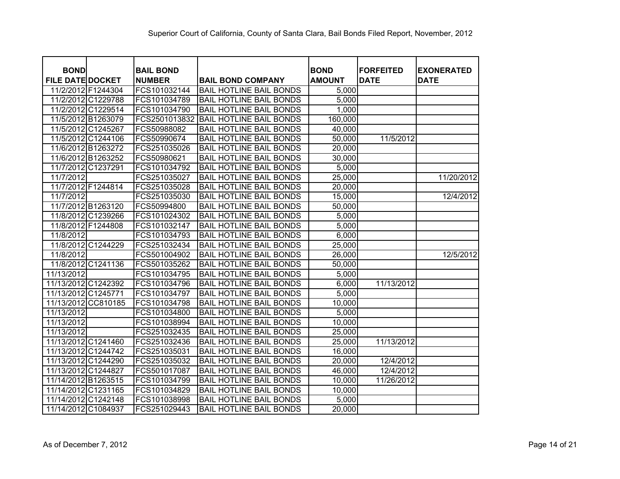| <b>BOND</b>             |                    | <b>BAIL BOND</b> |                                | <b>BOND</b>   | <b>FORFEITED</b> | <b>EXONERATED</b> |
|-------------------------|--------------------|------------------|--------------------------------|---------------|------------------|-------------------|
| <b>FILE DATE DOCKET</b> |                    | <b>NUMBER</b>    | <b>BAIL BOND COMPANY</b>       | <b>AMOUNT</b> | <b>DATE</b>      | <b>DATE</b>       |
| 11/2/2012 F1244304      |                    | FCS101032144     | <b>BAIL HOTLINE BAIL BONDS</b> | 5,000         |                  |                   |
|                         | 11/2/2012 C1229788 | FCS101034789     | <b>BAIL HOTLINE BAIL BONDS</b> | 5,000         |                  |                   |
|                         | 11/2/2012 C1229514 | FCS101034790     | <b>BAIL HOTLINE BAIL BONDS</b> | 1,000         |                  |                   |
|                         | 11/5/2012 B1263079 | FCS2501013832    | <b>BAIL HOTLINE BAIL BONDS</b> | 160,000       |                  |                   |
| 11/5/2012 C1245267      |                    | FCS50988082      | <b>BAIL HOTLINE BAIL BONDS</b> | 40,000        |                  |                   |
|                         | 11/5/2012 C1244106 | FCS50990674      | <b>BAIL HOTLINE BAIL BONDS</b> | 50,000        | 11/5/2012        |                   |
|                         | 11/6/2012 B1263272 | FCS251035026     | <b>BAIL HOTLINE BAIL BONDS</b> | 20,000        |                  |                   |
|                         | 11/6/2012 B1263252 | FCS50980621      | <b>BAIL HOTLINE BAIL BONDS</b> | 30,000        |                  |                   |
| 11/7/2012 C1237291      |                    | FCS101034792     | <b>BAIL HOTLINE BAIL BONDS</b> | 5,000         |                  |                   |
| 11/7/2012               |                    | FCS251035027     | <b>BAIL HOTLINE BAIL BONDS</b> | 25,000        |                  | 11/20/2012        |
| 11/7/2012 F1244814      |                    | FCS251035028     | <b>BAIL HOTLINE BAIL BONDS</b> | 20,000        |                  |                   |
| 11/7/2012               |                    | FCS251035030     | <b>BAIL HOTLINE BAIL BONDS</b> | 15,000        |                  | 12/4/2012         |
|                         | 11/7/2012 B1263120 | FCS50994800      | <b>BAIL HOTLINE BAIL BONDS</b> | 50,000        |                  |                   |
|                         | 11/8/2012 C1239266 | FCS101024302     | <b>BAIL HOTLINE BAIL BONDS</b> | 5,000         |                  |                   |
| 11/8/2012 F1244808      |                    | FCS101032147     | <b>BAIL HOTLINE BAIL BONDS</b> | 5,000         |                  |                   |
| 11/8/2012               |                    | FCS101034793     | <b>BAIL HOTLINE BAIL BONDS</b> | 6,000         |                  |                   |
|                         | 11/8/2012 C1244229 | FCS251032434     | <b>BAIL HOTLINE BAIL BONDS</b> | 25,000        |                  |                   |
| 11/8/2012               |                    | FCS501004902     | <b>BAIL HOTLINE BAIL BONDS</b> | 26,000        |                  | 12/5/2012         |
|                         | 11/8/2012 C1241136 | FCS501035262     | <b>BAIL HOTLINE BAIL BONDS</b> | 50,000        |                  |                   |
| 11/13/2012              |                    | FCS101034795     | <b>BAIL HOTLINE BAIL BONDS</b> | 5,000         |                  |                   |
| 11/13/2012 C1242392     |                    | FCS101034796     | <b>BAIL HOTLINE BAIL BONDS</b> | 6,000         | 11/13/2012       |                   |
| 11/13/2012 C1245771     |                    | FCS101034797     | <b>BAIL HOTLINE BAIL BONDS</b> | 5,000         |                  |                   |
| 11/13/2012              | CC810185           | FCS101034798     | <b>BAIL HOTLINE BAIL BONDS</b> | 10,000        |                  |                   |
| 11/13/2012              |                    | FCS101034800     | <b>BAIL HOTLINE BAIL BONDS</b> | 5,000         |                  |                   |
| 11/13/2012              |                    | FCS101038994     | <b>BAIL HOTLINE BAIL BONDS</b> | 10,000        |                  |                   |
| 11/13/2012              |                    | FCS251032435     | <b>BAIL HOTLINE BAIL BONDS</b> | 25,000        |                  |                   |
| 11/13/2012 C1241460     |                    | FCS251032436     | <b>BAIL HOTLINE BAIL BONDS</b> | 25,000        | 11/13/2012       |                   |
| 11/13/2012 C1244742     |                    | FCS251035031     | <b>BAIL HOTLINE BAIL BONDS</b> | 16,000        |                  |                   |
| 11/13/2012 C1244290     |                    | FCS251035032     | <b>BAIL HOTLINE BAIL BONDS</b> | 20,000        | 12/4/2012        |                   |
| 11/13/2012 C1244827     |                    | FCS501017087     | <b>BAIL HOTLINE BAIL BONDS</b> | 46,000        | 12/4/2012        |                   |
| 11/14/2012 B1263515     |                    | FCS101034799     | <b>BAIL HOTLINE BAIL BONDS</b> | 10,000        | 11/26/2012       |                   |
| 11/14/2012 C1231165     |                    | FCS101034829     | <b>BAIL HOTLINE BAIL BONDS</b> | 10,000        |                  |                   |
| 11/14/2012 C1242148     |                    | FCS101038998     | <b>BAIL HOTLINE BAIL BONDS</b> | 5,000         |                  |                   |
| 11/14/2012 C1084937     |                    | FCS251029443     | <b>BAIL HOTLINE BAIL BONDS</b> | 20,000        |                  |                   |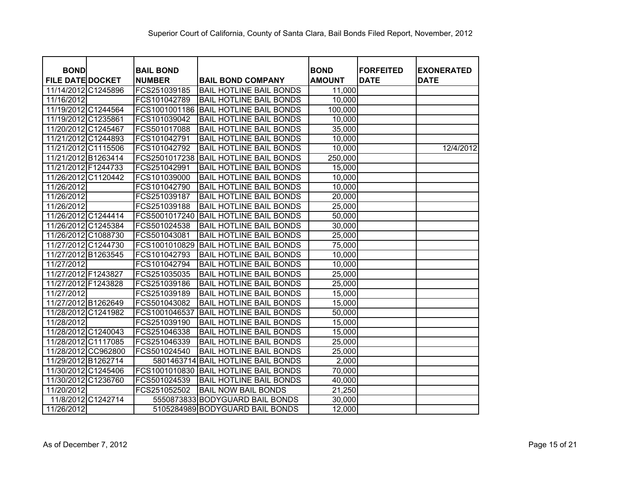| <b>BOND</b>             | <b>BAIL BOND</b> |                                       | <b>BOND</b>   | <b>FORFEITED</b> | <b>EXONERATED</b> |
|-------------------------|------------------|---------------------------------------|---------------|------------------|-------------------|
| <b>FILE DATE DOCKET</b> | <b>NUMBER</b>    | <b>BAIL BOND COMPANY</b>              | <b>AMOUNT</b> | <b>DATE</b>      | <b>DATE</b>       |
| 11/14/2012 C1245896     | FCS251039185     | <b>BAIL HOTLINE BAIL BONDS</b>        | 11,000        |                  |                   |
| 11/16/2012              | FCS101042789     | <b>BAIL HOTLINE BAIL BONDS</b>        | 10,000        |                  |                   |
| 11/19/2012 C1244564     | FCS1001001186    | <b>BAIL HOTLINE BAIL BONDS</b>        | 100,000       |                  |                   |
| 11/19/2012 C1235861     | FCS101039042     | <b>BAIL HOTLINE BAIL BONDS</b>        | 10,000        |                  |                   |
| 11/20/2012 C1245467     | FCS501017088     | <b>BAIL HOTLINE BAIL BONDS</b>        | 35,000        |                  |                   |
| 11/21/2012 C1244893     | FCS101042791     | <b>BAIL HOTLINE BAIL BONDS</b>        | 10,000        |                  |                   |
| 11/21/2012 C1115506     | FCS101042792     | <b>BAIL HOTLINE BAIL BONDS</b>        | 10,000        |                  | 12/4/2012         |
| 11/21/2012 B1263414     | FCS2501017238    | <b>BAIL HOTLINE BAIL BONDS</b>        | 250,000       |                  |                   |
| 11/21/2012 F1244733     | FCS251042991     | <b>BAIL HOTLINE BAIL BONDS</b>        | 15,000        |                  |                   |
| 11/26/2012 C1120442     | FCS101039000     | <b>BAIL HOTLINE BAIL BONDS</b>        | 10,000        |                  |                   |
| 11/26/2012              | FCS101042790     | <b>BAIL HOTLINE BAIL BONDS</b>        | 10,000        |                  |                   |
| 11/26/2012              | FCS251039187     | <b>BAIL HOTLINE BAIL BONDS</b>        | 20,000        |                  |                   |
| 11/26/2012              | FCS251039188     | <b>BAIL HOTLINE BAIL BONDS</b>        | 25,000        |                  |                   |
| 11/26/2012 C1244414     | FCS5001017240    | <b>BAIL HOTLINE BAIL BONDS</b>        | 50,000        |                  |                   |
| 11/26/2012 C1245384     | FCS501024538     | <b>BAIL HOTLINE BAIL BONDS</b>        | 30,000        |                  |                   |
| 11/26/2012 C1088730     | FCS501043081     | <b>BAIL HOTLINE BAIL BONDS</b>        | 25,000        |                  |                   |
| 11/27/2012 C1244730     | FCS1001010829    | <b>BAIL HOTLINE BAIL BONDS</b>        | 75,000        |                  |                   |
| 11/27/2012 B1263545     | FCS101042793     | <b>BAIL HOTLINE BAIL BONDS</b>        | 10,000        |                  |                   |
| 11/27/2012              | FCS101042794     | <b>BAIL HOTLINE BAIL BONDS</b>        | 10,000        |                  |                   |
| 11/27/2012 F1243827     | FCS251035035     | <b>BAIL HOTLINE BAIL BONDS</b>        | 25,000        |                  |                   |
| 11/27/2012 F1243828     | FCS251039186     | <b>BAIL HOTLINE BAIL BONDS</b>        | 25,000        |                  |                   |
| 11/27/2012              | FCS251039189     | <b>BAIL HOTLINE BAIL BONDS</b>        | 15,000        |                  |                   |
| 11/27/2012 B1262649     | FCS501043082     | <b>BAIL HOTLINE BAIL BONDS</b>        | 15,000        |                  |                   |
| 11/28/2012 C1241982     | FCS1001046537    | <b>BAIL HOTLINE BAIL BONDS</b>        | 50,000        |                  |                   |
| 11/28/2012              | FCS251039190     | <b>BAIL HOTLINE BAIL BONDS</b>        | 15,000        |                  |                   |
| 11/28/2012 C1240043     | FCS251046338     | <b>BAIL HOTLINE BAIL BONDS</b>        | 15,000        |                  |                   |
| 11/28/2012 C1117085     | FCS251046339     | <b>BAIL HOTLINE BAIL BONDS</b>        | 25,000        |                  |                   |
| 11/28/2012 CC962800     | FCS501024540     | <b>BAIL HOTLINE BAIL BONDS</b>        | 25,000        |                  |                   |
| 11/29/2012 B1262714     |                  | 5801463714 BAIL HOTLINE BAIL BONDS    | 2,000         |                  |                   |
| 11/30/2012 C1245406     |                  | FCS1001010830 BAIL HOTLINE BAIL BONDS | 70,000        |                  |                   |
| 11/30/2012 C1236760     | FCS501024539     | <b>BAIL HOTLINE BAIL BONDS</b>        | 40,000        |                  |                   |
| 11/20/2012              | FCS251052502     | <b>BAIL NOW BAIL BONDS</b>            | 21,250        |                  |                   |
| 11/8/2012 C1242714      |                  | 5550873833 BODYGUARD BAIL BONDS       | 30,000        |                  |                   |
| 11/26/2012              |                  | 5105284989 BODYGUARD BAIL BONDS       | 12,000        |                  |                   |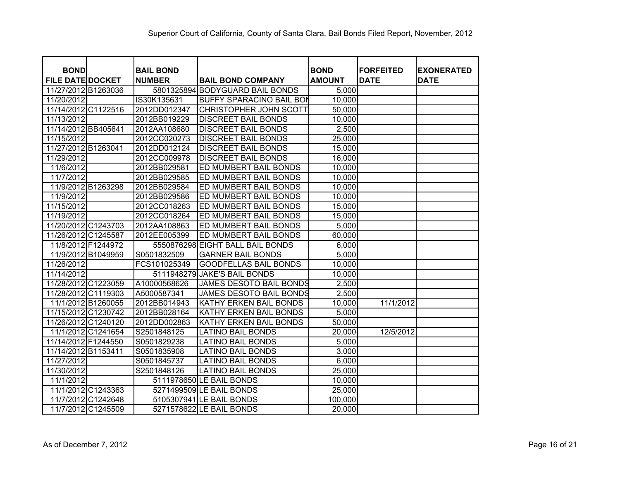| <b>BOND</b>             | <b>BAIL BOND</b> |                                  | <b>BOND</b>   | <b>FORFEITED</b> | <b>EXONERATED</b> |
|-------------------------|------------------|----------------------------------|---------------|------------------|-------------------|
| <b>FILE DATE DOCKET</b> | <b>NUMBER</b>    | <b>BAIL BOND COMPANY</b>         | <b>AMOUNT</b> | <b>DATE</b>      | <b>DATE</b>       |
| 11/27/2012 B1263036     |                  | 5801325894 BODYGUARD BAIL BONDS  | 5,000         |                  |                   |
| 11/20/2012              | IS30K135631      | <b>BUFFY SPARACINO BAIL BON</b>  | 10,000        |                  |                   |
| 11/14/2012 C1122516     | 2012DD012347     | CHRISTOPHER JOHN SCOTT           | 50,000        |                  |                   |
| 11/13/2012              | 2012BB019229     | <b>DISCREET BAIL BONDS</b>       | 10,000        |                  |                   |
| 11/14/2012 BB405641     | 2012AA108680     | <b>DISCREET BAIL BONDS</b>       | 2,500         |                  |                   |
| 11/15/2012              | 2012CC020273     | <b>DISCREET BAIL BONDS</b>       | 25,000        |                  |                   |
| 11/27/2012 B1263041     | 2012DD012124     | <b>DISCREET BAIL BONDS</b>       | 15,000        |                  |                   |
| 11/29/2012              | 2012CC009978     | <b>DISCREET BAIL BONDS</b>       | 16,000        |                  |                   |
| 11/6/2012               | 2012BB029581     | ED MUMBERT BAIL BONDS            | 10,000        |                  |                   |
| 11/7/2012               | 2012BB029585     | ED MUMBERT BAIL BONDS            | 10,000        |                  |                   |
| 11/9/2012 B1263298      | 2012BB029584     | ED MUMBERT BAIL BONDS            | 10,000        |                  |                   |
| 11/9/2012               | 2012BB029586     | ED MUMBERT BAIL BONDS            | 10,000        |                  |                   |
| 11/15/2012              | 2012CC018263     | ED MUMBERT BAIL BONDS            | 15,000        |                  |                   |
| 11/19/2012              | 2012CC018264     | ED MUMBERT BAIL BONDS            | 15,000        |                  |                   |
| 11/20/2012 C1243703     | 2012AA108863     | ED MUMBERT BAIL BONDS            | 5,000         |                  |                   |
| 11/26/2012 C1245587     | 2012EE005399     | ED MUMBERT BAIL BONDS            | 60,000        |                  |                   |
| 11/8/2012 F1244972      |                  | 5550876298 EIGHT BALL BAIL BONDS | 6,000         |                  |                   |
| 11/9/2012 B1049959      | S0501832509      | <b>GARNER BAIL BONDS</b>         | 5,000         |                  |                   |
| 11/26/2012              | FCS101025349     | <b>GOODFELLAS BAIL BONDS</b>     | 10,000        |                  |                   |
| 11/14/2012              | 5111948279       | JAKE'S BAIL BONDS                | 10,000        |                  |                   |
| 11/28/2012 C1223059     | A10000568626     | JAMES DESOTO BAIL BONDS          | 2,500         |                  |                   |
| 11/28/2012 C1119303     | A5000587341      | JAMES DESOTO BAIL BONDS          | 2,500         |                  |                   |
| 11/1/2012 B1260055      | 2012BB014943     | KATHY ERKEN BAIL BONDS           | 10,000        | 11/1/2012        |                   |
| 11/15/2012 C1230742     | 2012BB028164     | KATHY ERKEN BAIL BONDS           | 5,000         |                  |                   |
| 11/26/2012 C1240120     | 2012DD002863     | KATHY ERKEN BAIL BONDS           | 50,000        |                  |                   |
| 11/1/2012 C1241654      | S2501848125      | <b>LATINO BAIL BONDS</b>         | 20,000        | 12/5/2012        |                   |
| 11/14/2012 F1244550     | S0501829238      | <b>LATINO BAIL BONDS</b>         | 5,000         |                  |                   |
| 11/14/2012 B1153411     | S0501835908      | <b>LATINO BAIL BONDS</b>         | 3,000         |                  |                   |
| 11/27/2012              | S0501845737      | <b>LATINO BAIL BONDS</b>         | 6,000         |                  |                   |
| 11/30/2012              | S2501848126      | <b>LATINO BAIL BONDS</b>         | 25,000        |                  |                   |
| 11/1/2012               |                  | 5111978650 LE BAIL BONDS         | 10,000        |                  |                   |
| 11/1/2012 C1243363      |                  | 5271499509 LE BAIL BONDS         | 25,000        |                  |                   |
| 11/7/2012 C1242648      |                  | 5105307941 LE BAIL BONDS         | 100,000       |                  |                   |
| 11/7/2012 C1245509      |                  | 5271578622 LE BAIL BONDS         | 20,000        |                  |                   |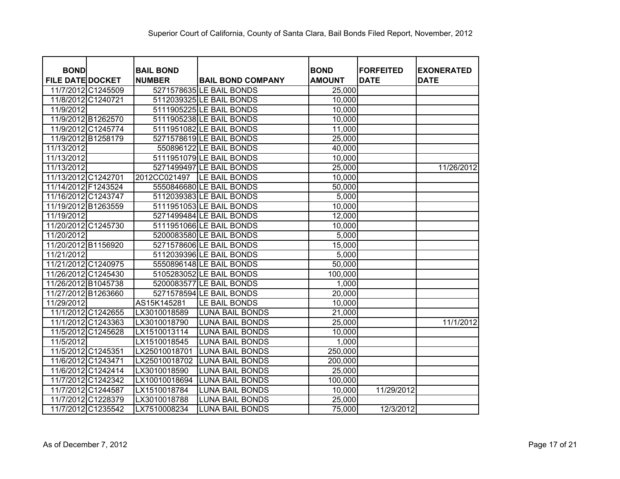| <b>BOND</b>             | <b>BAIL BOND</b> |                              | <b>BOND</b>   | <b>FORFEITED</b> | <b>EXONERATED</b> |
|-------------------------|------------------|------------------------------|---------------|------------------|-------------------|
| <b>FILE DATE DOCKET</b> | <b>NUMBER</b>    | <b>BAIL BOND COMPANY</b>     | <b>AMOUNT</b> | <b>DATE</b>      | <b>DATE</b>       |
| 11/7/2012 C1245509      |                  | 5271578635 LE BAIL BONDS     | 25,000        |                  |                   |
| 11/8/2012 C1240721      |                  | 5112039325 LE BAIL BONDS     | 10,000        |                  |                   |
| 11/9/2012               |                  | 5111905225 LE BAIL BONDS     | 10,000        |                  |                   |
| 11/9/2012 B1262570      |                  | 5111905238 LE BAIL BONDS     | 10,000        |                  |                   |
| 11/9/2012 C1245774      |                  | 5111951082 LE BAIL BONDS     | 11,000        |                  |                   |
| 11/9/2012 B1258179      |                  | 5271578619 LE BAIL BONDS     | 25,000        |                  |                   |
| 11/13/2012              |                  | 550896122 LE BAIL BONDS      | 40,000        |                  |                   |
| 11/13/2012              |                  | 5111951079 LE BAIL BONDS     | 10,000        |                  |                   |
| 11/13/2012              |                  | 5271499497 LE BAIL BONDS     | 25,000        |                  | 11/26/2012        |
| 11/13/2012 C1242701     |                  | 2012CC021497   LE BAIL BONDS | 10,000        |                  |                   |
| 11/14/2012 F1243524     |                  | 5550846680 LE BAIL BONDS     | 50,000        |                  |                   |
| 11/16/2012 C1243747     |                  | 5112039383 LE BAIL BONDS     | 5,000         |                  |                   |
| 11/19/2012 B1263559     |                  | 5111951053 LE BAIL BONDS     | 10,000        |                  |                   |
| 11/19/2012              |                  | 5271499484 LE BAIL BONDS     | 12,000        |                  |                   |
| 11/20/2012 C1245730     |                  | 5111951066 LE BAIL BONDS     | 10,000        |                  |                   |
| 11/20/2012              |                  | 5200083580 LE BAIL BONDS     | 5,000         |                  |                   |
| 11/20/2012 B1156920     |                  | 5271578606 LE BAIL BONDS     | 15,000        |                  |                   |
| 11/21/2012              |                  | 5112039396 LE BAIL BONDS     | 5,000         |                  |                   |
| 11/21/2012 C1240975     |                  | 5550896148 LE BAIL BONDS     | 50,000        |                  |                   |
| 11/26/2012 C1245430     |                  | 5105283052 LE BAIL BONDS     | 100,000       |                  |                   |
| 11/26/2012 B1045738     |                  | 5200083577 LE BAIL BONDS     | 1,000         |                  |                   |
| 11/27/2012 B1263660     |                  | 5271578594 LE BAIL BONDS     | 20,000        |                  |                   |
| 11/29/2012              | AS15K145281      | LE BAIL BONDS                | 10,000        |                  |                   |
| 11/1/2012 C1242655      | LX3010018589     | <b>LUNA BAIL BONDS</b>       | 21,000        |                  |                   |
| 11/1/2012 C1243363      | LX3010018790     | <b>LUNA BAIL BONDS</b>       | 25,000        |                  | 11/1/2012         |
| 11/5/2012 C1245628      | LX1510013114     | <b>LUNA BAIL BONDS</b>       | 10,000        |                  |                   |
| 11/5/2012               | LX1510018545     | <b>LUNA BAIL BONDS</b>       | 1,000         |                  |                   |
| 11/5/2012 C1245351      | LX25010018701    | <b>LUNA BAIL BONDS</b>       | 250,000       |                  |                   |
| 11/6/2012 C1243471      | LX25010018702    | <b>LUNA BAIL BONDS</b>       | 200,000       |                  |                   |
| 11/6/2012 C1242414      | LX3010018590     | <b>LUNA BAIL BONDS</b>       | 25,000        |                  |                   |
| 11/7/2012 C1242342      | LX10010018694    | <b>LUNA BAIL BONDS</b>       | 100,000       |                  |                   |
| 11/7/2012 C1244587      | LX1510018784     | <b>LUNA BAIL BONDS</b>       | 10,000        | 11/29/2012       |                   |
| 11/7/2012 C1228379      | LX3010018788     | <b>LUNA BAIL BONDS</b>       | 25,000        |                  |                   |
| 11/7/2012 C1235542      | LX7510008234     | <b>LUNA BAIL BONDS</b>       | 75,000        | 12/3/2012        |                   |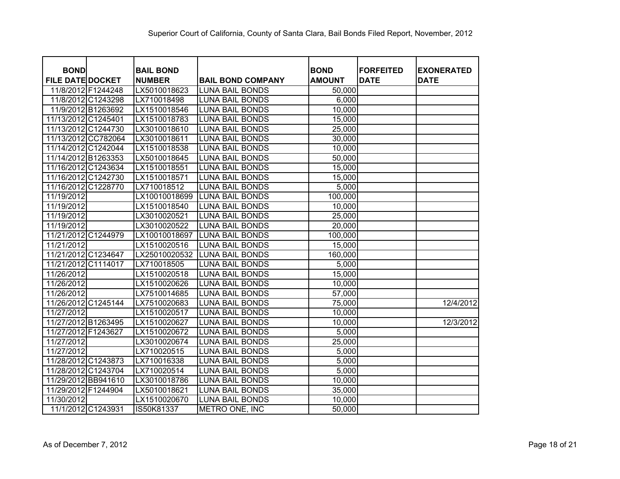| <b>BOND</b>             |               | <b>BAIL BOND</b> |                          | <b>BOND</b>   | <b>FORFEITED</b> | <b>EXONERATED</b> |
|-------------------------|---------------|------------------|--------------------------|---------------|------------------|-------------------|
| <b>FILE DATE DOCKET</b> | <b>NUMBER</b> |                  | <b>BAIL BOND COMPANY</b> | <b>AMOUNT</b> | <b>DATE</b>      | <b>DATE</b>       |
| 11/8/2012 F1244248      |               | LX5010018623     | <b>LUNA BAIL BONDS</b>   | 50,000        |                  |                   |
| 11/8/2012 C1243298      |               | LX710018498      | <b>LUNA BAIL BONDS</b>   | 6,000         |                  |                   |
| 11/9/2012 B1263692      |               | LX1510018546     | <b>LUNA BAIL BONDS</b>   | 10,000        |                  |                   |
| 11/13/2012 C1245401     |               | LX1510018783     | <b>LUNA BAIL BONDS</b>   | 15,000        |                  |                   |
| 11/13/2012 C1244730     |               | LX3010018610     | <b>LUNA BAIL BONDS</b>   | 25,000        |                  |                   |
| 11/13/2012 CC782064     |               | LX3010018611     | <b>LUNA BAIL BONDS</b>   | 30,000        |                  |                   |
| 11/14/2012 C1242044     |               | LX1510018538     | <b>LUNA BAIL BONDS</b>   | 10,000        |                  |                   |
| 11/14/2012 B1263353     |               | LX5010018645     | <b>LUNA BAIL BONDS</b>   | 50,000        |                  |                   |
| 11/16/2012 C1243634     |               | LX1510018551     | <b>LUNA BAIL BONDS</b>   | 15,000        |                  |                   |
| 11/16/2012 C1242730     |               | LX1510018571     | <b>LUNA BAIL BONDS</b>   | 15,000        |                  |                   |
| 11/16/2012 C1228770     |               | LX710018512      | <b>LUNA BAIL BONDS</b>   | 5,000         |                  |                   |
| 11/19/2012              |               | LX10010018699    | <b>LUNA BAIL BONDS</b>   | 100,000       |                  |                   |
| 11/19/2012              |               | LX1510018540     | <b>LUNA BAIL BONDS</b>   | 10,000        |                  |                   |
| 11/19/2012              |               | LX3010020521     | <b>LUNA BAIL BONDS</b>   | 25,000        |                  |                   |
| 11/19/2012              |               | LX3010020522     | <b>LUNA BAIL BONDS</b>   | 20,000        |                  |                   |
| 11/21/2012 C1244979     |               | LX10010018697    | <b>LUNA BAIL BONDS</b>   | 100,000       |                  |                   |
| 11/21/2012              |               | LX1510020516     | <b>LUNA BAIL BONDS</b>   | 15,000        |                  |                   |
| 11/21/2012 C1234647     |               | LX25010020532    | <b>LUNA BAIL BONDS</b>   | 160,000       |                  |                   |
| C1114017<br>11/21/2012  |               | LX710018505      | <b>LUNA BAIL BONDS</b>   | 5,000         |                  |                   |
| 11/26/2012              |               | LX1510020518     | <b>LUNA BAIL BONDS</b>   | 15,000        |                  |                   |
| 11/26/2012              |               | LX1510020626     | <b>LUNA BAIL BONDS</b>   | 10,000        |                  |                   |
| 11/26/2012              |               | LX7510014685     | <b>LUNA BAIL BONDS</b>   | 57,000        |                  |                   |
| 11/26/2012 C1245144     |               | LX7510020683     | <b>LUNA BAIL BONDS</b>   | 75,000        |                  | 12/4/2012         |
| 11/27/2012              |               | LX1510020517     | <b>LUNA BAIL BONDS</b>   | 10,000        |                  |                   |
| 11/27/2012 B1263495     |               | LX1510020627     | <b>LUNA BAIL BONDS</b>   | 10,000        |                  | 12/3/2012         |
| 11/27/2012 F1243627     |               | LX1510020672     | <b>LUNA BAIL BONDS</b>   | 5,000         |                  |                   |
| 11/27/2012              |               | LX3010020674     | <b>LUNA BAIL BONDS</b>   | 25,000        |                  |                   |
| 11/27/2012              |               | LX710020515      | <b>LUNA BAIL BONDS</b>   | 5,000         |                  |                   |
| 11/28/2012 C1243873     |               | LX710016338      | <b>LUNA BAIL BONDS</b>   | 5,000         |                  |                   |
| 11/28/2012 C1243704     |               | LX710020514      | <b>LUNA BAIL BONDS</b>   | 5,000         |                  |                   |
| 11/29/2012 BB941610     |               | LX3010018786     | <b>LUNA BAIL BONDS</b>   | 10,000        |                  |                   |
| 11/29/2012 F1244904     |               | LX5010018621     | <b>LUNA BAIL BONDS</b>   | 35,000        |                  |                   |
| 11/30/2012              |               | LX1510020670     | <b>LUNA BAIL BONDS</b>   | 10,000        |                  |                   |
| 11/1/2012 C1243931      |               | IS50K81337       | METRO ONE, INC           | 50,000        |                  |                   |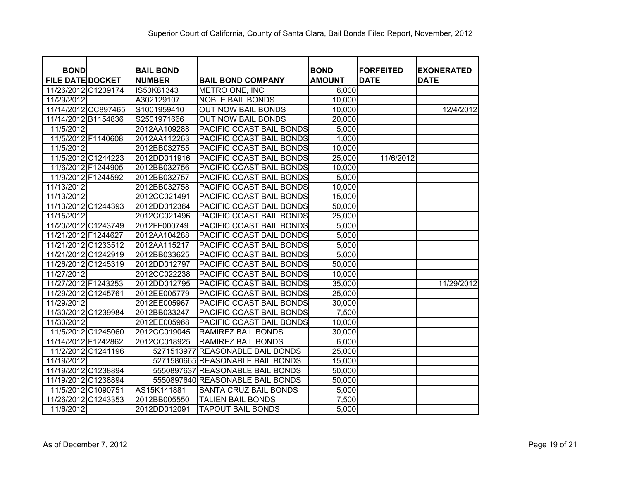| <b>BOND</b>             | <b>BAIL BOND</b> |                                  | <b>BOND</b>   | <b>FORFEITED</b> | <b>EXONERATED</b> |
|-------------------------|------------------|----------------------------------|---------------|------------------|-------------------|
| <b>FILE DATE DOCKET</b> | <b>NUMBER</b>    | <b>BAIL BOND COMPANY</b>         | <b>AMOUNT</b> | <b>DATE</b>      | <b>DATE</b>       |
| 11/26/2012 C1239174     | IS50K81343       | <b>METRO ONE, INC</b>            | 6,000         |                  |                   |
| 11/29/2012              | A302129107       | <b>NOBLE BAIL BONDS</b>          | 10,000        |                  |                   |
| 11/14/2012 CC897465     | S1001959410      | <b>OUT NOW BAIL BONDS</b>        | 10,000        |                  | 12/4/2012         |
| 11/14/2012 B1154836     | S2501971666      | <b>OUT NOW BAIL BONDS</b>        | 20,000        |                  |                   |
| 11/5/2012               | 2012AA109288     | PACIFIC COAST BAIL BONDS         | 5,000         |                  |                   |
| 11/5/2012 F1140608      | 2012AA112263     | PACIFIC COAST BAIL BONDS         | 1,000         |                  |                   |
| 11/5/2012               | 2012BB032755     | PACIFIC COAST BAIL BONDS         | 10,000        |                  |                   |
| 11/5/2012 C1244223      | 2012DD011916     | PACIFIC COAST BAIL BONDS         | 25,000        | 11/6/2012        |                   |
| 11/6/2012 F1244905      | 2012BB032756     | PACIFIC COAST BAIL BONDS         | 10,000        |                  |                   |
| 11/9/2012 F1244592      | 2012BB032757     | PACIFIC COAST BAIL BONDS         | 5,000         |                  |                   |
| 11/13/2012              | 2012BB032758     | PACIFIC COAST BAIL BONDS         | 10,000        |                  |                   |
| 11/13/2012              | 2012CC021491     | PACIFIC COAST BAIL BONDS         | 15,000        |                  |                   |
| 11/13/2012 C1244393     | 2012DD012364     | PACIFIC COAST BAIL BONDS         | 50,000        |                  |                   |
| 11/15/2012              | 2012CC021496     | PACIFIC COAST BAIL BONDS         | 25,000        |                  |                   |
| 11/20/2012 C1243749     | 2012FF000749     | PACIFIC COAST BAIL BONDS         | 5,000         |                  |                   |
| 11/21/2012 F1244627     | 2012AA104288     | PACIFIC COAST BAIL BONDS         | 5,000         |                  |                   |
| 11/21/2012 C1233512     | 2012AA115217     | PACIFIC COAST BAIL BONDS         | 5,000         |                  |                   |
| 11/21/2012 C1242919     | 2012BB033625     | PACIFIC COAST BAIL BONDS         | 5,000         |                  |                   |
| 11/26/2012 C1245319     | 2012DD012797     | PACIFIC COAST BAIL BONDS         | 50,000        |                  |                   |
| 11/27/2012              | 2012CC022238     | PACIFIC COAST BAIL BONDS         | 10,000        |                  |                   |
| 11/27/2012 F1243253     | 2012DD012795     | PACIFIC COAST BAIL BONDS         | 35,000        |                  | 11/29/2012        |
| 11/29/2012 C1245761     | 2012EE005779     | PACIFIC COAST BAIL BONDS         | 25,000        |                  |                   |
| 11/29/2012              | 2012EE005967     | PACIFIC COAST BAIL BONDS         | 30,000        |                  |                   |
| 11/30/2012 C1239984     | 2012BB033247     | PACIFIC COAST BAIL BONDS         | 7,500         |                  |                   |
| 11/30/2012              | 2012EE005968     | PACIFIC COAST BAIL BONDS         | 10,000        |                  |                   |
| 11/5/2012 C1245060      | 2012CC019045     | <b>RAMIREZ BAIL BONDS</b>        | 30,000        |                  |                   |
| 11/14/2012 F1242862     | 2012CC018925     | <b>RAMIREZ BAIL BONDS</b>        | 6,000         |                  |                   |
| 11/2/2012 C1241196      |                  | 5271513977 REASONABLE BAIL BONDS | 25,000        |                  |                   |
| 11/19/2012              |                  | 5271580665 REASONABLE BAIL BONDS | 15,000        |                  |                   |
| 11/19/2012 C1238894     |                  | 5550897637 REASONABLE BAIL BONDS | 50,000        |                  |                   |
| 11/19/2012 C1238894     |                  | 5550897640 REASONABLE BAIL BONDS | 50,000        |                  |                   |
| 11/5/2012 C1090751      | AS15K141881      | SANTA CRUZ BAIL BONDS            | 5,000         |                  |                   |
| 11/26/2012 C1243353     | 2012BB005550     | <b>TALIEN BAIL BONDS</b>         | 7,500         |                  |                   |
| 11/6/2012               | 2012DD012091     | <b>TAPOUT BAIL BONDS</b>         | 5,000         |                  |                   |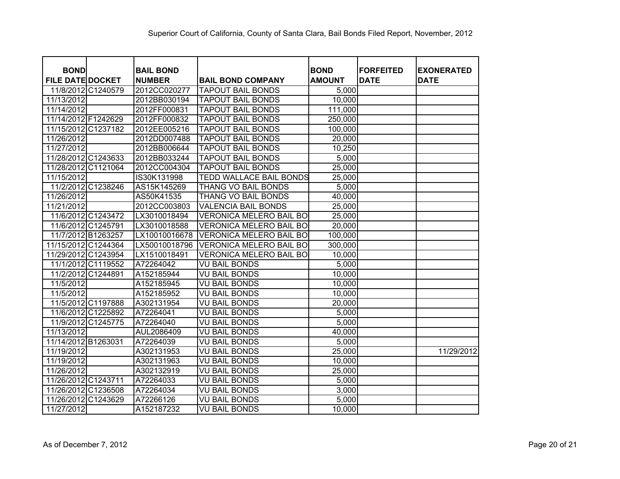| <b>BOND</b>             | <b>BAIL BOND</b> |                                | <b>BOND</b>   | <b>FORFEITED</b> | <b>EXONERATED</b> |
|-------------------------|------------------|--------------------------------|---------------|------------------|-------------------|
| <b>FILE DATE DOCKET</b> | <b>NUMBER</b>    | <b>BAIL BOND COMPANY</b>       | <b>AMOUNT</b> | <b>DATE</b>      | <b>DATE</b>       |
| 11/8/2012 C1240579      | 2012CC020277     | <b>TAPOUT BAIL BONDS</b>       | 5,000         |                  |                   |
| 11/13/2012              | 2012BB030194     | <b>TAPOUT BAIL BONDS</b>       | 10,000        |                  |                   |
| 11/14/2012              | 2012FF000831     | <b>TAPOUT BAIL BONDS</b>       | 111,000       |                  |                   |
| 11/14/2012 F1242629     | 2012FF000832     | <b>TAPOUT BAIL BONDS</b>       | 250,000       |                  |                   |
| 11/15/2012 C1237182     | 2012EE005216     | <b>TAPOUT BAIL BONDS</b>       | 100,000       |                  |                   |
| 11/26/2012              | 2012DD007488     | <b>TAPOUT BAIL BONDS</b>       | 20,000        |                  |                   |
| 11/27/2012              | 2012BB006644     | <b>TAPOUT BAIL BONDS</b>       | 10,250        |                  |                   |
| 11/28/2012 C1243633     | 2012BB033244     | <b>TAPOUT BAIL BONDS</b>       | 5,000         |                  |                   |
| 11/28/2012 C1121064     | 2012CC004304     | <b>TAPOUT BAIL BONDS</b>       | 25,000        |                  |                   |
| 11/15/2012              | IS30K131998      | <b>TEDD WALLACE BAIL BONDS</b> | 25,000        |                  |                   |
| 11/2/2012 C1238246      | AS15K145269      | THANG VO BAIL BONDS            | 5,000         |                  |                   |
| 11/26/2012              | AS50K41535       | THANG VO BAIL BONDS            | 40,000        |                  |                   |
| 11/21/2012              | 2012CC003803     | <b>VALENCIA BAIL BONDS</b>     | 25,000        |                  |                   |
| 11/6/2012 C1243472      | LX3010018494     | <b>VERONICA MELERO BAIL BO</b> | 25,000        |                  |                   |
| 11/6/2012 C1245791      | LX3010018588     | <b>VERONICA MELERO BAIL BO</b> | 20,000        |                  |                   |
| 11/7/2012 B1263257      | LX10010016678    | VERONICA MELERO BAIL BO        | 100,000       |                  |                   |
| 11/15/2012 C1244364     | LX50010018796    | <b>VERONICA MELERO BAIL BO</b> | 300,000       |                  |                   |
| 11/29/2012 C1243954     | LX1510018491     | VERONICA MELERO BAIL BO        | 10,000        |                  |                   |
| 11/1/2012 C1119552      | A72264042        | VU BAIL BONDS                  | 5,000         |                  |                   |
| 11/2/2012 C1244891      | A152185944       | <b>VU BAIL BONDS</b>           | 10,000        |                  |                   |
| 11/5/2012               | A152185945       | VU BAIL BONDS                  | 10,000        |                  |                   |
| 11/5/2012               | A152185952       | <b>VU BAIL BONDS</b>           | 10,000        |                  |                   |
| 11/5/2012 C1197888      | A302131954       | <b>VU BAIL BONDS</b>           | 20,000        |                  |                   |
| 11/6/2012 C1225892      | A72264041        | <b>VU BAIL BONDS</b>           | 5,000         |                  |                   |
| 11/9/2012 C1245775      | A72264040        | <b>VU BAIL BONDS</b>           | 5,000         |                  |                   |
| 11/13/2012              | AUL2086409       | <b>VU BAIL BONDS</b>           | 40,000        |                  |                   |
| 11/14/2012 B1263031     | A72264039        | <b>VU BAIL BONDS</b>           | 5,000         |                  |                   |
| 11/19/2012              | A302131953       | <b>VU BAIL BONDS</b>           | 25,000        |                  | 11/29/2012        |
| 11/19/2012              | A302131963       | <b>VU BAIL BONDS</b>           | 10,000        |                  |                   |
| 11/26/2012              | A302132919       | <b>VU BAIL BONDS</b>           | 25,000        |                  |                   |
| 11/26/2012 C1243711     | A72264033        | <b>VU BAIL BONDS</b>           | 5,000         |                  |                   |
| 11/26/2012 C1236508     | A72264034        | <b>VU BAIL BONDS</b>           | 3,000         |                  |                   |
| 11/26/2012 C1243629     | A72266126        | <b>VU BAIL BONDS</b>           | 5,000         |                  |                   |
| 11/27/2012              | A152187232       | <b>VU BAIL BONDS</b>           | 10,000        |                  |                   |